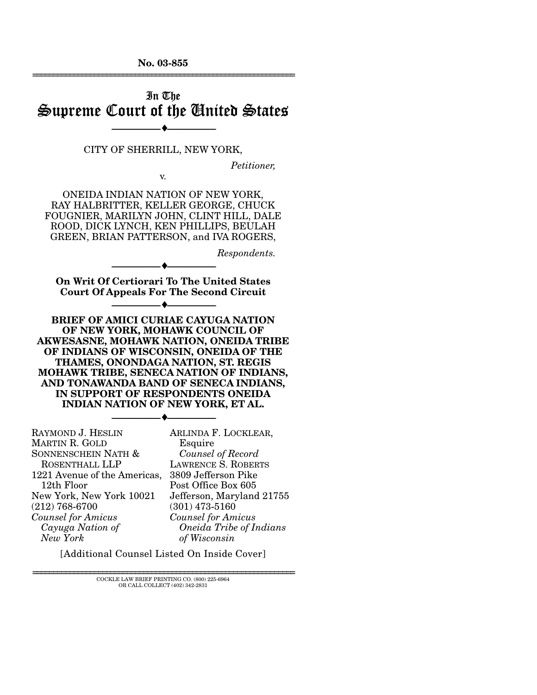**No. 03-855**  ================================================================

# In The Supreme Court of the United States

CITY OF SHERRILL, NEW YORK,

v.

--------------------------------- ♦ ---------------------------------

*Petitioner,* 

ONEIDA INDIAN NATION OF NEW YORK, RAY HALBRITTER, KELLER GEORGE, CHUCK FOUGNIER, MARILYN JOHN, CLINT HILL, DALE ROOD, DICK LYNCH, KEN PHILLIPS, BEULAH GREEN, BRIAN PATTERSON, and IVA ROGERS,

*Respondents.* 

**On Writ Of Certiorari To The United States Court Of Appeals For The Second Circuit** 

--------------------------------- ♦ ---------------------------------

--------------------------------- ♦ ---------------------------------

**BRIEF OF AMICI CURIAE CAYUGA NATION OF NEW YORK, MOHAWK COUNCIL OF AKWESASNE, MOHAWK NATION, ONEIDA TRIBE OF INDIANS OF WISCONSIN, ONEIDA OF THE THAMES, ONONDAGA NATION, ST. REGIS MOHAWK TRIBE, SENECA NATION OF INDIANS, AND TONAWANDA BAND OF SENECA INDIANS, IN SUPPORT OF RESPONDENTS ONEIDA INDIAN NATION OF NEW YORK, ET AL.** 

--------------------------------- ♦ ---------------------------------

RAYMOND J. HESLIN MARTIN R. GOLD SONNENSCHEIN NATH & ROSENTHALL LLP 1221 Avenue of the Americas, 12th Floor New York, New York 10021 (212) 768-6700 *Counsel for Amicus Cayuga Nation of New York*  ARLINDA F. LOCKLEAR, Esquire  *Counsel of Record*  LAWRENCE S. ROBERTS 3809 Jefferson Pike Post Office Box 605 Jefferson, Maryland 21755 (301) 473-5160 *Counsel for Amicus Oneida Tribe of Indians of Wisconsin* 

[Additional Counsel Listed On Inside Cover]

================================================================ COCKLE LAW BRIEF PRINTING CO. (800) 225-6964 OR CALL COLLECT (402) 342-2831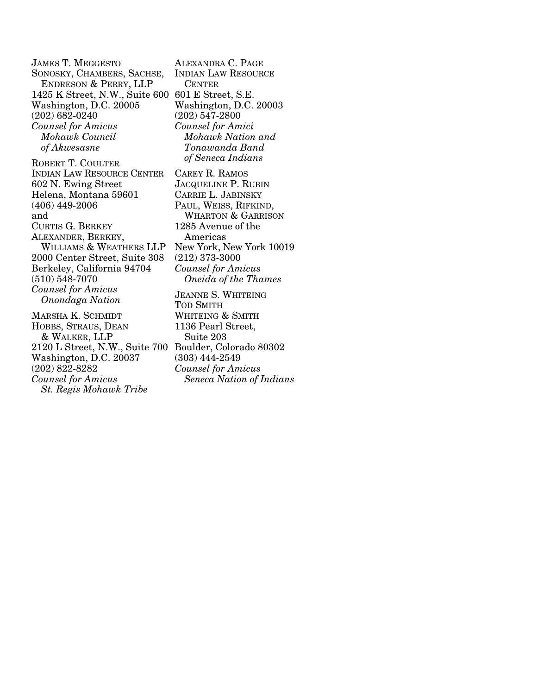JAMES T. MEGGESTO SONOSKY, CHAMBERS, SACHSE, ENDRESON & PERRY, LLP 1425 K Street, N.W., Suite 600 601 E Street, S.E. Washington, D.C. 20005 (202) 682-0240 *Counsel for Amicus Mohawk Council of Akwesasne*  ROBERT T. COULTER

INDIAN LAW RESOURCE CENTER 602 N. Ewing Street Helena, Montana 59601 (406) 449-2006 and CURTIS G. BERKEY ALEXANDER, BERKEY, WILLIAMS & WEATHERS LLP 2000 Center Street, Suite 308 Berkeley, California 94704 (510) 548-7070 *Counsel for Amicus Onondaga Nation* 

MARSHA K. SCHMIDT HOBBS, STRAUS, DEAN & WALKER, LLP 2120 L Street, N.W., Suite 700 Boulder, Colorado 80302 Washington, D.C. 20037 (202) 822-8282 *Counsel for Amicus St. Regis Mohawk Tribe* 

ALEXANDRA C. PAGE INDIAN LAW RESOURCE **CENTER** Washington, D.C. 20003 (202) 547-2800 *Counsel for Amici Mohawk Nation and Tonawanda Band of Seneca Indians*  CAREY R. RAMOS JACQUELINE P. RUBIN CARRIE L. JABINSKY PAUL, WEISS, RIFKIND, WHARTON & GARRISON 1285 Avenue of the Americas New York, New York 10019 (212) 373-3000 *Counsel for Amicus Oneida of the Thames*  JEANNE S. WHITEING TOD SMITH WHITEING & SMITH 1136 Pearl Street, Suite 203 (303) 444-2549 *Counsel for Amicus Seneca Nation of Indians*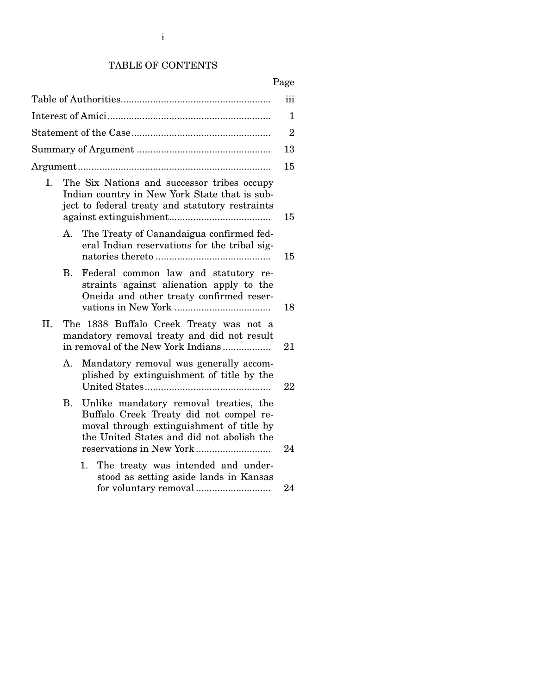# TABLE OF CONTENTS

# Page

|     |    | iii                                                                                                                                                                        |                |
|-----|----|----------------------------------------------------------------------------------------------------------------------------------------------------------------------------|----------------|
|     |    | 1                                                                                                                                                                          |                |
|     |    |                                                                                                                                                                            | $\overline{2}$ |
|     |    | 13                                                                                                                                                                         |                |
|     |    | 15                                                                                                                                                                         |                |
| I.  |    | The Six Nations and successor tribes occupy<br>Indian country in New York State that is sub-<br>ject to federal treaty and statutory restraints                            | 15             |
|     | A. | The Treaty of Canandaigua confirmed fed-<br>eral Indian reservations for the tribal sig-                                                                                   | 15             |
|     | В. | Federal common law and statutory re-<br>straints against alienation apply to the<br>Oneida and other treaty confirmed reser-                                               | 18             |
| II. |    | The 1838 Buffalo Creek Treaty was not a<br>mandatory removal treaty and did not result<br>in removal of the New York Indians                                               | 21             |
|     | А. | Mandatory removal was generally accom-<br>plished by extinguishment of title by the                                                                                        | 22             |
|     | В. | Unlike mandatory removal treaties, the<br>Buffalo Creek Treaty did not compel re-<br>moval through extinguishment of title by<br>the United States and did not abolish the | 24             |
|     |    | The treaty was intended and under-<br>1.<br>stood as setting aside lands in Kansas                                                                                         | 24             |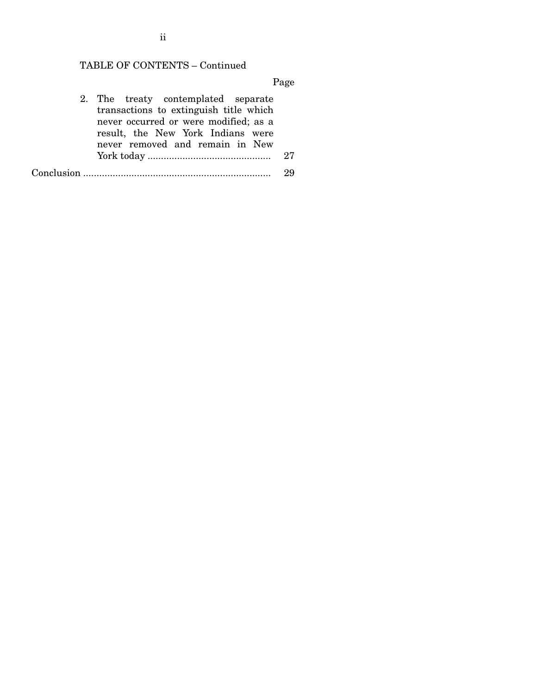# TABLE OF CONTENTS – Continued

Page

| 2. The treaty contemplated separate    |    |
|----------------------------------------|----|
| transactions to extinguish title which |    |
| never occurred or were modified; as a  |    |
| result, the New York Indians were      |    |
| never removed and remain in New        |    |
|                                        | 27 |
|                                        |    |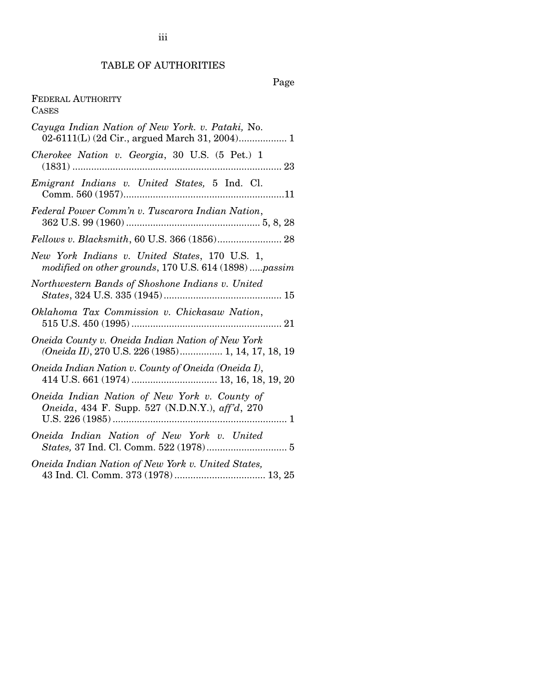## TABLE OF AUTHORITIES

# Page

## FEDERAL AUTHORITY CASES

| Cayuga Indian Nation of New York. v. Pataki, No.<br>02-6111(L) (2d Cir., argued March 31, 2004) 1       |
|---------------------------------------------------------------------------------------------------------|
| Cherokee Nation v. Georgia, 30 U.S. (5 Pet.) 1                                                          |
| Emigrant Indians v. United States, 5 Ind. Cl.                                                           |
| Federal Power Comm'n v. Tuscarora Indian Nation,                                                        |
| Fellows v. Blacksmith, 60 U.S. 366 (1856) 28                                                            |
| New York Indians v. United States, 170 U.S. 1,<br>modified on other grounds, 170 U.S. 614 (1898)passim  |
| Northwestern Bands of Shoshone Indians v. United                                                        |
| Oklahoma Tax Commission v. Chickasaw Nation,                                                            |
| Oneida County v. Oneida Indian Nation of New York<br>(Oneida II), 270 U.S. 226 (1985) 1, 14, 17, 18, 19 |
| Oneida Indian Nation v. County of Oneida (Oneida I),                                                    |
| Oneida Indian Nation of New York v. County of<br>Oneida, 434 F. Supp. 527 (N.D.N.Y.), aff'd, 270        |
| Oneida Indian Nation of New York v. United                                                              |
| Oneida Indian Nation of New York v. United States,                                                      |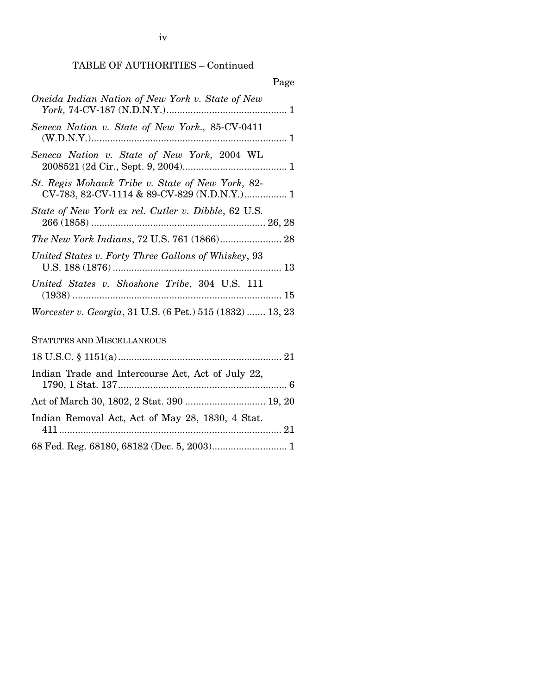TABLE OF AUTHORITIES – Continued

|                                                                                                 | Page |
|-------------------------------------------------------------------------------------------------|------|
| Oneida Indian Nation of New York v. State of New                                                |      |
| Seneca Nation v. State of New York., 85-CV-0411                                                 |      |
| Seneca Nation v. State of New York, 2004 WL                                                     |      |
| St. Regis Mohawk Tribe v. State of New York, 82-<br>CV-783, 82-CV-1114 & 89-CV-829 (N.D.N.Y.) 1 |      |
| State of New York ex rel. Cutler v. Dibble, 62 U.S.                                             |      |
|                                                                                                 |      |
| United States v. Forty Three Gallons of Whiskey, 93                                             |      |
| United States v. Shoshone Tribe, 304 U.S. 111                                                   |      |
| <i>Worcester v. Georgia, 31 U.S. (6 Pet.) 515 (1832)  13, 23</i>                                |      |

STATUTES AND MISCELLANEOUS

| Indian Trade and Intercourse Act, Act of July 22, |  |
|---------------------------------------------------|--|
|                                                   |  |
| Indian Removal Act, Act of May 28, 1830, 4 Stat.  |  |
|                                                   |  |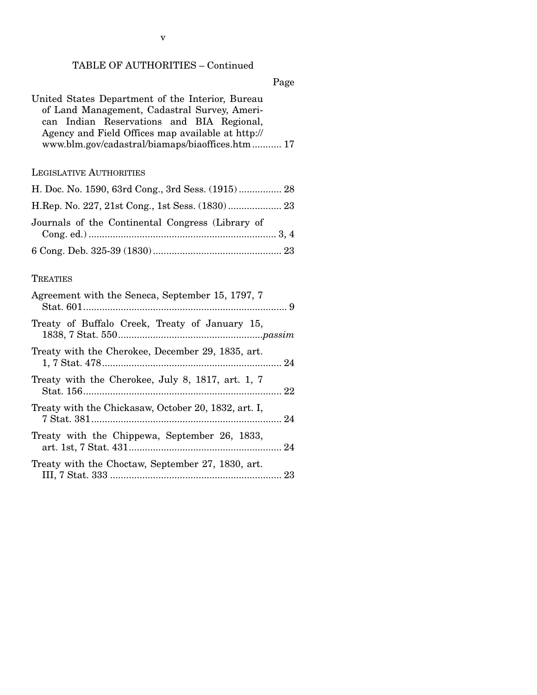Page

| United States Department of the Interior, Bureau  |
|---------------------------------------------------|
| of Land Management, Cadastral Survey, Ameri-      |
| can Indian Reservations and BIA Regional,         |
| Agency and Field Offices map available at http:// |
| www.blm.gov/cadastral/biamaps/biaoffices.htm 17   |
|                                                   |

LEGISLATIVE AUTHORITIES

| Journals of the Continental Congress (Library of |  |
|--------------------------------------------------|--|
|                                                  |  |

## TREATIES

| Agreement with the Seneca, September 15, 1797, 7     |  |
|------------------------------------------------------|--|
| Treaty of Buffalo Creek, Treaty of January 15,       |  |
| Treaty with the Cherokee, December 29, 1835, art.    |  |
| Treaty with the Cherokee, July 8, 1817, art. 1, 7    |  |
| Treaty with the Chickasaw, October 20, 1832, art. I, |  |
| Treaty with the Chippewa, September 26, 1833,        |  |
| Treaty with the Choctaw, September 27, 1830, art.    |  |

v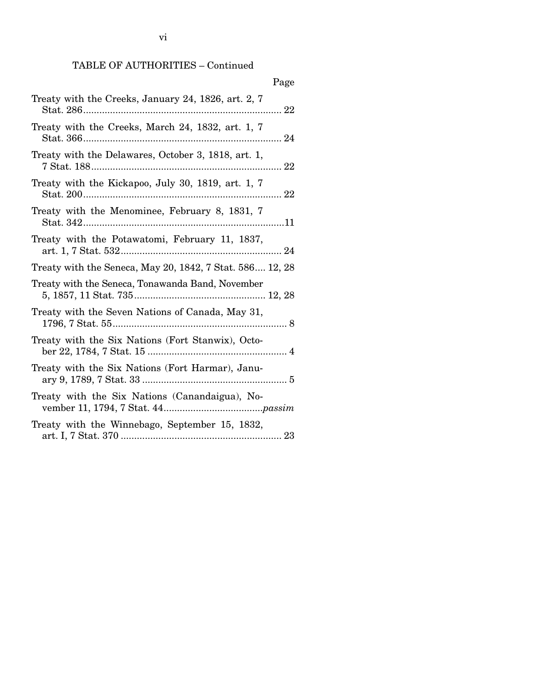# TABLE OF AUTHORITIES – Continued

| Page                                                     |
|----------------------------------------------------------|
| Treaty with the Creeks, January 24, 1826, art. 2, 7      |
| Treaty with the Creeks, March 24, 1832, art. 1, 7        |
| Treaty with the Delawares, October 3, 1818, art. 1,      |
| Treaty with the Kickapoo, July 30, 1819, art. 1, 7       |
| Treaty with the Menominee, February 8, 1831, 7           |
| Treaty with the Potawatomi, February 11, 1837,           |
| Treaty with the Seneca, May 20, 1842, 7 Stat. 586 12, 28 |
| Treaty with the Seneca, Tonawanda Band, November         |
| Treaty with the Seven Nations of Canada, May 31,         |
| Treaty with the Six Nations (Fort Stanwix), Octo-        |
| Treaty with the Six Nations (Fort Harmar), Janu-         |
| Treaty with the Six Nations (Canandaigua), No-           |
| Treaty with the Winnebago, September 15, 1832,           |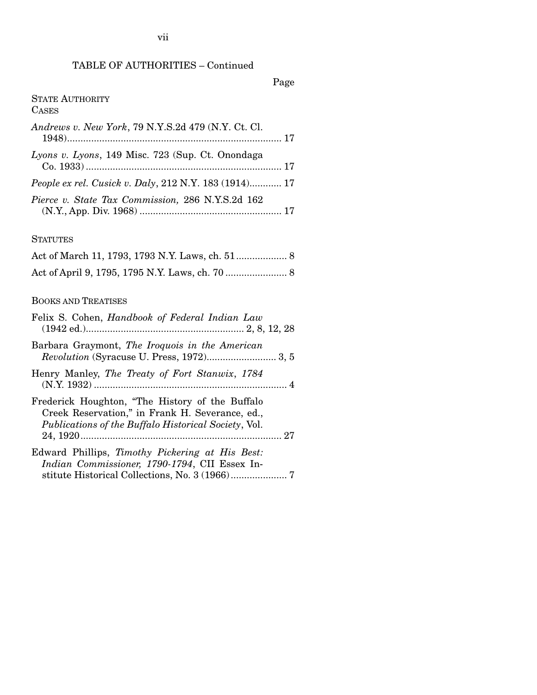# TABLE OF AUTHORITIES – Continued

## Page

## STATE AUTHORITY CASES

| Andrews v. New York, 79 N.Y.S.2d 479 (N.Y. Ct. Cl.    |  |
|-------------------------------------------------------|--|
| Lyons v. Lyons, 149 Misc. 723 (Sup. Ct. Onondaga      |  |
| People ex rel. Cusick v. Daly, 212 N.Y. 183 (1914) 17 |  |
| Pierce v. State Tax Commission, 286 N.Y.S.2d 162      |  |

### **STATUTES**

## BOOKS AND TREATISES

| Felix S. Cohen, Handbook of Federal Indian Law                                                                                                                    |
|-------------------------------------------------------------------------------------------------------------------------------------------------------------------|
| Barbara Graymont, The Iroquois in the American                                                                                                                    |
| Henry Manley, The Treaty of Fort Stanwix, 1784                                                                                                                    |
| Frederick Houghton, "The History of the Buffalo<br>Creek Reservation," in Frank H. Severance, ed.,<br><i>Publications of the Buffalo Historical Society, Vol.</i> |
| Edward Phillips, Timothy Pickering at His Best:<br>Indian Commissioner, 1790-1794, CII Essex In-                                                                  |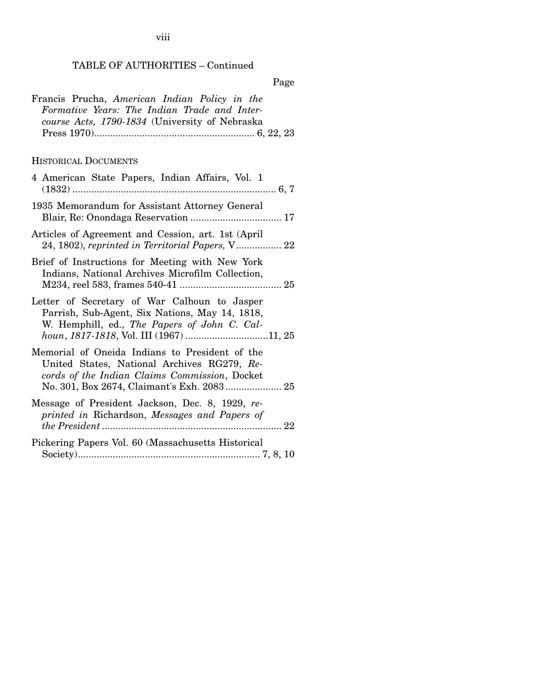viii

# TABLE OF AUTHORITIES – Continued

| Page                                                                                                                                                                                         |
|----------------------------------------------------------------------------------------------------------------------------------------------------------------------------------------------|
| Francis Prucha, American Indian Policy in the<br>Formative Years: The Indian Trade and Inter-<br>course Acts, 1790-1834 (University of Nebraska                                              |
| <b>HISTORICAL DOCUMENTS</b>                                                                                                                                                                  |
| 4 American State Papers, Indian Affairs, Vol. 1                                                                                                                                              |
| 1935 Memorandum for Assistant Attorney General                                                                                                                                               |
| Articles of Agreement and Cession, art. 1st (April)<br>24, 1802), reprinted in Territorial Papers, V 22                                                                                      |
| Brief of Instructions for Meeting with New York<br>Indians, National Archives Microfilm Collection,                                                                                          |
| Letter of Secretary of War Calhoun to Jasper<br>Parrish, Sub-Agent, Six Nations, May 14, 1818,<br>W. Hemphill, ed., The Papers of John C. Cal-<br>houn, 1817-1818, Vol. III (1967) 11, 25    |
| Memorial of Oneida Indians to President of the<br>United States, National Archives RG279, Re-<br>cords of the Indian Claims Commission, Docket<br>No. 301, Box 2674, Claimant's Exh. 2083 25 |
| Message of President Jackson, Dec. 8, 1929, re-<br>printed in Richardson, Messages and Papers of<br>$22$                                                                                     |
| Pickering Papers Vol. 60 (Massachusetts Historical                                                                                                                                           |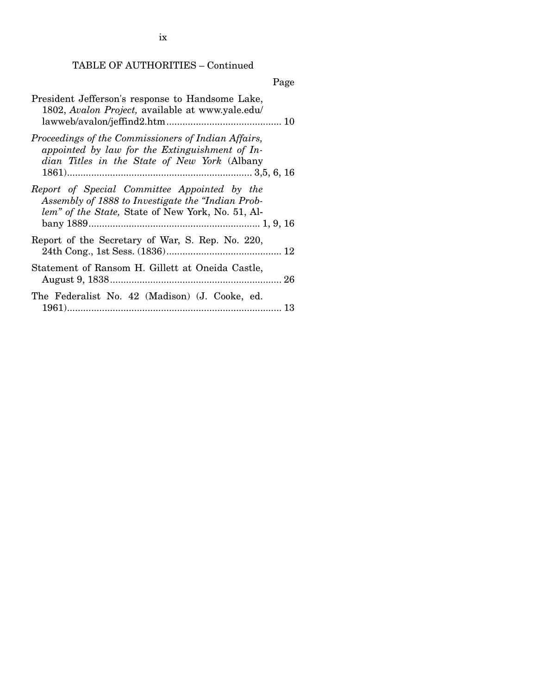TABLE OF AUTHORITIES – Continued

| Page                                                                                                                                                   |
|--------------------------------------------------------------------------------------------------------------------------------------------------------|
| President Jefferson's response to Handsome Lake,<br>1802, Avalon Project, available at www.yale.edu/                                                   |
| Proceedings of the Commissioners of Indian Affairs,<br>appointed by law for the Extinguishment of In-<br>dian Titles in the State of New York (Albany  |
| Report of Special Committee Appointed by the<br>Assembly of 1888 to Investigate the "Indian Prob-<br>lem" of the State, State of New York, No. 51, Al- |
| Report of the Secretary of War, S. Rep. No. 220,                                                                                                       |
| Statement of Ransom H. Gillett at Oneida Castle,                                                                                                       |
| The Federalist No. 42 (Madison) (J. Cooke, ed.                                                                                                         |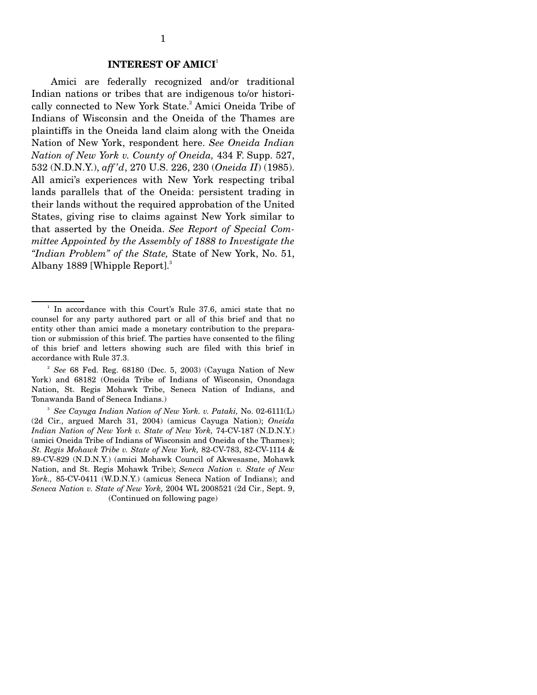### **INTEREST OF AMICI<sup>1</sup>**

 Amici are federally recognized and/or traditional Indian nations or tribes that are indigenous to/or historically connected to New York State.<sup>2</sup> Amici Oneida Tribe of Indians of Wisconsin and the Oneida of the Thames are plaintiffs in the Oneida land claim along with the Oneida Nation of New York, respondent here. *See Oneida Indian Nation of New York v. County of Oneida,* 434 F. Supp. 527, 532 (N.D.N.Y.), *aff 'd*, 270 U.S. 226, 230 (*Oneida II*) (1985). All amici's experiences with New York respecting tribal lands parallels that of the Oneida: persistent trading in their lands without the required approbation of the United States, giving rise to claims against New York similar to that asserted by the Oneida. *See Report of Special Committee Appointed by the Assembly of 1888 to Investigate the "Indian Problem" of the State,* State of New York, No. 51, Albany 1889 [Whipple Report].<sup>3</sup>

<sup>&</sup>lt;sup>1</sup> In accordance with this Court's Rule 37.6, amici state that no counsel for any party authored part or all of this brief and that no entity other than amici made a monetary contribution to the preparation or submission of this brief. The parties have consented to the filing of this brief and letters showing such are filed with this brief in accordance with Rule 37.3.

<sup>2</sup> *See* 68 Fed. Reg. 68180 (Dec. 5, 2003) (Cayuga Nation of New York) and 68182 (Oneida Tribe of Indians of Wisconsin, Onondaga Nation, St. Regis Mohawk Tribe, Seneca Nation of Indians, and Tonawanda Band of Seneca Indians.)

<sup>&</sup>lt;sup>3</sup> See Cayuga Indian Nation of New York. v. Pataki, No. 02-6111(L) (2d Cir., argued March 31, 2004) (amicus Cayuga Nation); *Oneida Indian Nation of New York v. State of New York,* 74-CV-187 (N.D.N.Y.) (amici Oneida Tribe of Indians of Wisconsin and Oneida of the Thames); *St. Regis Mohawk Tribe v. State of New York,* 82-CV-783, 82-CV-1114 & 89-CV-829 (N.D.N.Y.) (amici Mohawk Council of Akwesasne, Mohawk Nation, and St. Regis Mohawk Tribe); *Seneca Nation v. State of New York.,* 85-CV-0411 (W.D.N.Y.) (amicus Seneca Nation of Indians); and *Seneca Nation v. State of New York,* 2004 WL 2008521 (2d Cir., Sept. 9, (Continued on following page)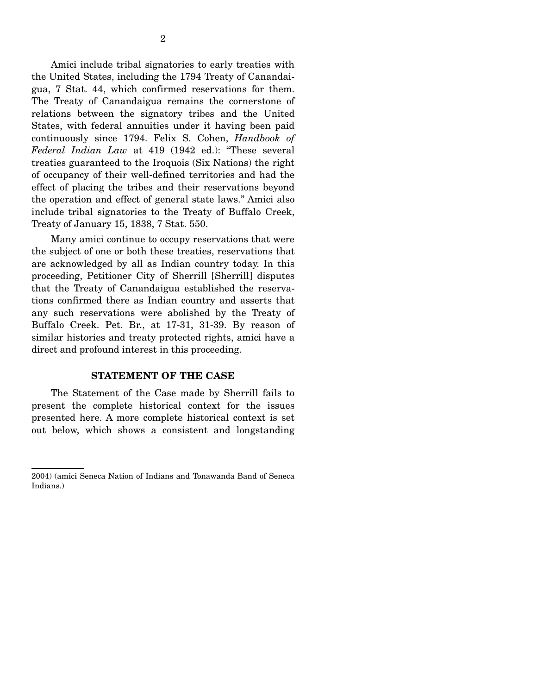Amici include tribal signatories to early treaties with the United States, including the 1794 Treaty of Canandaigua, 7 Stat. 44, which confirmed reservations for them. The Treaty of Canandaigua remains the cornerstone of relations between the signatory tribes and the United States, with federal annuities under it having been paid continuously since 1794. Felix S. Cohen, *Handbook of Federal Indian Law* at 419 (1942 ed.): "These several treaties guaranteed to the Iroquois (Six Nations) the right of occupancy of their well-defined territories and had the effect of placing the tribes and their reservations beyond the operation and effect of general state laws." Amici also include tribal signatories to the Treaty of Buffalo Creek, Treaty of January 15, 1838, 7 Stat. 550.

 Many amici continue to occupy reservations that were the subject of one or both these treaties, reservations that are acknowledged by all as Indian country today. In this proceeding, Petitioner City of Sherrill [Sherrill] disputes that the Treaty of Canandaigua established the reservations confirmed there as Indian country and asserts that any such reservations were abolished by the Treaty of Buffalo Creek. Pet. Br., at 17-31, 31-39. By reason of similar histories and treaty protected rights, amici have a direct and profound interest in this proceeding.

### **STATEMENT OF THE CASE**

 The Statement of the Case made by Sherrill fails to present the complete historical context for the issues presented here. A more complete historical context is set out below, which shows a consistent and longstanding

<sup>2004) (</sup>amici Seneca Nation of Indians and Tonawanda Band of Seneca Indians.)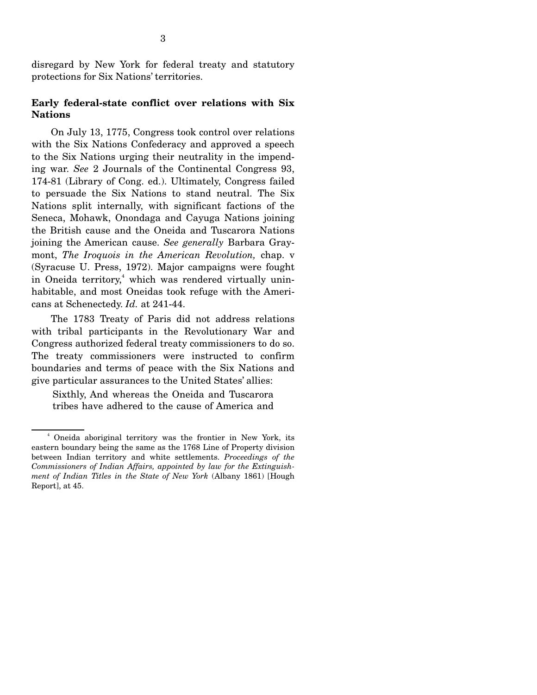disregard by New York for federal treaty and statutory protections for Six Nations' territories.

## **Early federal-state conflict over relations with Six Nations**

 On July 13, 1775, Congress took control over relations with the Six Nations Confederacy and approved a speech to the Six Nations urging their neutrality in the impending war. *See* 2 Journals of the Continental Congress 93, 174-81 (Library of Cong. ed.). Ultimately, Congress failed to persuade the Six Nations to stand neutral. The Six Nations split internally, with significant factions of the Seneca, Mohawk, Onondaga and Cayuga Nations joining the British cause and the Oneida and Tuscarora Nations joining the American cause. *See generally* Barbara Graymont, *The Iroquois in the American Revolution,* chap. v (Syracuse U. Press, 1972). Major campaigns were fought in Oneida territory,<sup>4</sup> which was rendered virtually uninhabitable, and most Oneidas took refuge with the Americans at Schenectedy. *Id.* at 241-44.

 The 1783 Treaty of Paris did not address relations with tribal participants in the Revolutionary War and Congress authorized federal treaty commissioners to do so. The treaty commissioners were instructed to confirm boundaries and terms of peace with the Six Nations and give particular assurances to the United States' allies:

Sixthly, And whereas the Oneida and Tuscarora tribes have adhered to the cause of America and

<sup>4</sup> Oneida aboriginal territory was the frontier in New York, its eastern boundary being the same as the 1768 Line of Property division between Indian territory and white settlements. *Proceedings of the Commissioners of Indian Affairs, appointed by law for the Extinguishment of Indian Titles in the State of New York* (Albany 1861) [Hough Report], at 45.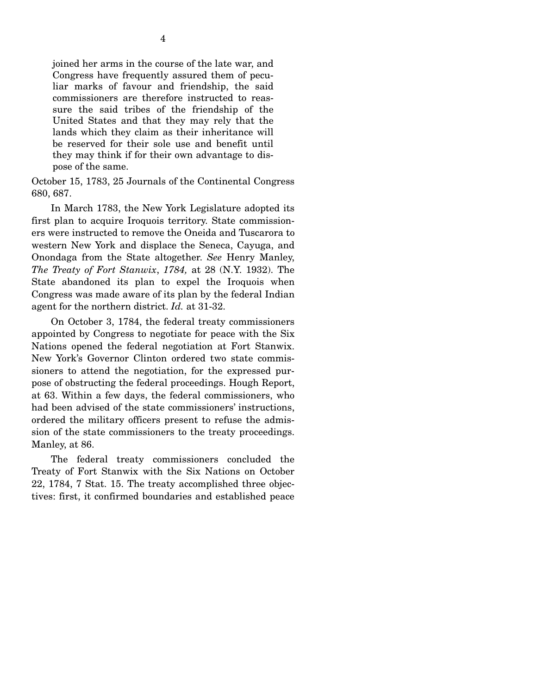joined her arms in the course of the late war, and Congress have frequently assured them of peculiar marks of favour and friendship, the said commissioners are therefore instructed to reassure the said tribes of the friendship of the United States and that they may rely that the lands which they claim as their inheritance will be reserved for their sole use and benefit until they may think if for their own advantage to dispose of the same.

October 15, 1783, 25 Journals of the Continental Congress 680, 687.

 In March 1783, the New York Legislature adopted its first plan to acquire Iroquois territory. State commissioners were instructed to remove the Oneida and Tuscarora to western New York and displace the Seneca, Cayuga, and Onondaga from the State altogether. *See* Henry Manley, *The Treaty of Fort Stanwix*, *1784,* at 28 (N.Y. 1932). The State abandoned its plan to expel the Iroquois when Congress was made aware of its plan by the federal Indian agent for the northern district. *Id.* at 31-32.

 On October 3, 1784, the federal treaty commissioners appointed by Congress to negotiate for peace with the Six Nations opened the federal negotiation at Fort Stanwix. New York's Governor Clinton ordered two state commissioners to attend the negotiation, for the expressed purpose of obstructing the federal proceedings. Hough Report, at 63. Within a few days, the federal commissioners, who had been advised of the state commissioners' instructions, ordered the military officers present to refuse the admission of the state commissioners to the treaty proceedings. Manley, at 86.

 The federal treaty commissioners concluded the Treaty of Fort Stanwix with the Six Nations on October 22, 1784, 7 Stat. 15. The treaty accomplished three objectives: first, it confirmed boundaries and established peace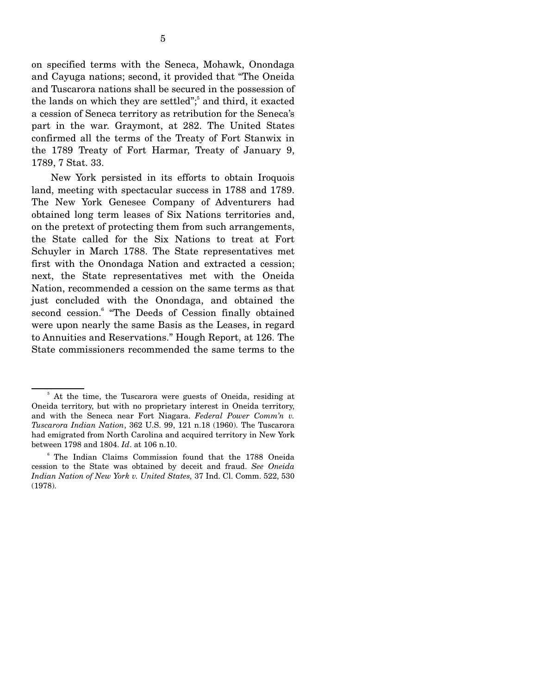on specified terms with the Seneca, Mohawk, Onondaga and Cayuga nations; second, it provided that "The Oneida and Tuscarora nations shall be secured in the possession of the lands on which they are settled"; and third, it exacted a cession of Seneca territory as retribution for the Seneca's part in the war. Graymont, at 282. The United States confirmed all the terms of the Treaty of Fort Stanwix in the 1789 Treaty of Fort Harmar, Treaty of January 9, 1789, 7 Stat. 33.

 New York persisted in its efforts to obtain Iroquois land, meeting with spectacular success in 1788 and 1789. The New York Genesee Company of Adventurers had obtained long term leases of Six Nations territories and, on the pretext of protecting them from such arrangements, the State called for the Six Nations to treat at Fort Schuyler in March 1788. The State representatives met first with the Onondaga Nation and extracted a cession; next, the State representatives met with the Oneida Nation, recommended a cession on the same terms as that just concluded with the Onondaga, and obtained the second cession.<sup>6</sup> "The Deeds of Cession finally obtained were upon nearly the same Basis as the Leases, in regard to Annuities and Reservations." Hough Report, at 126. The State commissioners recommended the same terms to the

<sup>5</sup> At the time, the Tuscarora were guests of Oneida, residing at Oneida territory, but with no proprietary interest in Oneida territory, and with the Seneca near Fort Niagara. *Federal Power Comm'n v. Tuscarora Indian Nation*, 362 U.S. 99, 121 n.18 (1960). The Tuscarora had emigrated from North Carolina and acquired territory in New York between 1798 and 1804. *Id*. at 106 n.10.

<sup>6</sup> The Indian Claims Commission found that the 1788 Oneida cession to the State was obtained by deceit and fraud. *See Oneida Indian Nation of New York v. United States,* 37 Ind. Cl. Comm. 522, 530 (1978).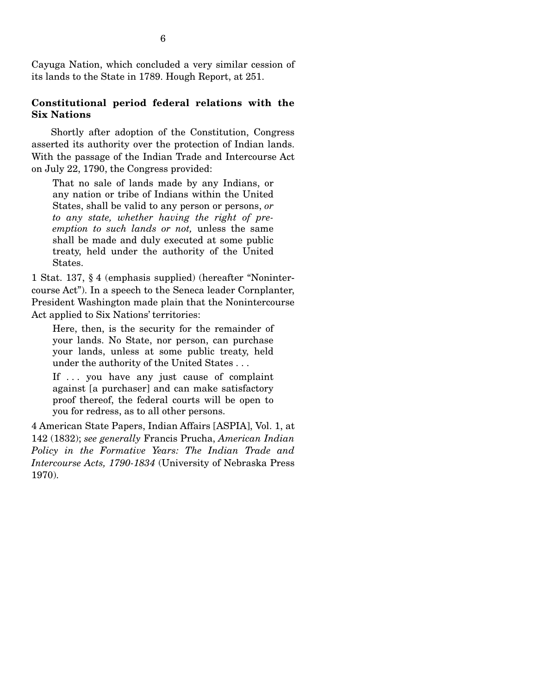Cayuga Nation, which concluded a very similar cession of its lands to the State in 1789. Hough Report, at 251.

## **Constitutional period federal relations with the Six Nations**

 Shortly after adoption of the Constitution, Congress asserted its authority over the protection of Indian lands. With the passage of the Indian Trade and Intercourse Act on July 22, 1790, the Congress provided:

That no sale of lands made by any Indians, or any nation or tribe of Indians within the United States, shall be valid to any person or persons, *or to any state, whether having the right of preemption to such lands or not,* unless the same shall be made and duly executed at some public treaty, held under the authority of the United States.

1 Stat. 137, § 4 (emphasis supplied) (hereafter "Nonintercourse Act"). In a speech to the Seneca leader Cornplanter, President Washington made plain that the Nonintercourse Act applied to Six Nations' territories:

Here, then, is the security for the remainder of your lands. No State, nor person, can purchase your lands, unless at some public treaty, held under the authority of the United States . . .

If ... you have any just cause of complaint against [a purchaser] and can make satisfactory proof thereof, the federal courts will be open to you for redress, as to all other persons.

4 American State Papers, Indian Affairs [ASPIA], Vol. 1, at 142 (1832); *see generally* Francis Prucha, *American Indian Policy in the Formative Years: The Indian Trade and Intercourse Acts, 1790-1834* (University of Nebraska Press 1970).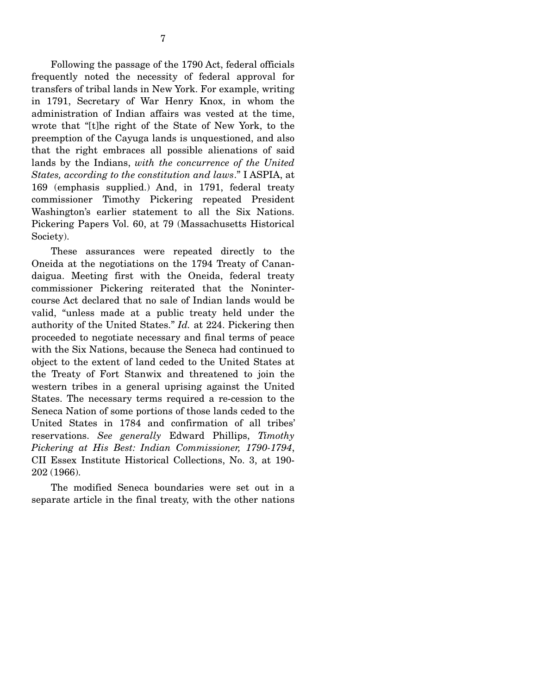Following the passage of the 1790 Act, federal officials frequently noted the necessity of federal approval for transfers of tribal lands in New York. For example, writing in 1791, Secretary of War Henry Knox, in whom the administration of Indian affairs was vested at the time, wrote that "[t]he right of the State of New York, to the preemption of the Cayuga lands is unquestioned, and also that the right embraces all possible alienations of said lands by the Indians, *with the concurrence of the United States, according to the constitution and laws*." I ASPIA, at 169 (emphasis supplied.) And, in 1791, federal treaty commissioner Timothy Pickering repeated President Washington's earlier statement to all the Six Nations. Pickering Papers Vol. 60, at 79 (Massachusetts Historical Society).

 These assurances were repeated directly to the Oneida at the negotiations on the 1794 Treaty of Canandaigua. Meeting first with the Oneida, federal treaty commissioner Pickering reiterated that the Nonintercourse Act declared that no sale of Indian lands would be valid, "unless made at a public treaty held under the authority of the United States." *Id.* at 224. Pickering then proceeded to negotiate necessary and final terms of peace with the Six Nations, because the Seneca had continued to object to the extent of land ceded to the United States at the Treaty of Fort Stanwix and threatened to join the western tribes in a general uprising against the United States. The necessary terms required a re-cession to the Seneca Nation of some portions of those lands ceded to the United States in 1784 and confirmation of all tribes' reservations. *See generally* Edward Phillips, *Timothy Pickering at His Best: Indian Commissioner, 1790-1794*, CII Essex Institute Historical Collections, No. 3, at 190- 202 (1966).

 The modified Seneca boundaries were set out in a separate article in the final treaty, with the other nations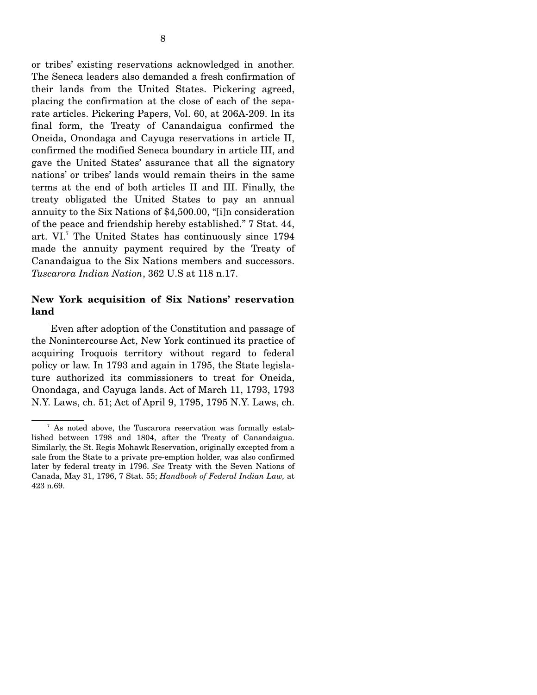or tribes' existing reservations acknowledged in another. The Seneca leaders also demanded a fresh confirmation of their lands from the United States. Pickering agreed, placing the confirmation at the close of each of the separate articles. Pickering Papers, Vol. 60, at 206A-209. In its final form, the Treaty of Canandaigua confirmed the Oneida, Onondaga and Cayuga reservations in article II, confirmed the modified Seneca boundary in article III, and gave the United States' assurance that all the signatory nations' or tribes' lands would remain theirs in the same terms at the end of both articles II and III. Finally, the treaty obligated the United States to pay an annual annuity to the Six Nations of \$4,500.00, "[i]n consideration of the peace and friendship hereby established." 7 Stat. 44, art. VI.<sup>7</sup> The United States has continuously since 1794 made the annuity payment required by the Treaty of Canandaigua to the Six Nations members and successors. *Tuscarora Indian Nation*, 362 U.S at 118 n.17.

### **New York acquisition of Six Nations' reservation land**

 Even after adoption of the Constitution and passage of the Nonintercourse Act, New York continued its practice of acquiring Iroquois territory without regard to federal policy or law. In 1793 and again in 1795, the State legislature authorized its commissioners to treat for Oneida, Onondaga, and Cayuga lands. Act of March 11, 1793, 1793 N.Y. Laws, ch. 51; Act of April 9, 1795, 1795 N.Y. Laws, ch.

<sup>&</sup>lt;sup>7</sup> As noted above, the Tuscarora reservation was formally established between 1798 and 1804, after the Treaty of Canandaigua. Similarly, the St. Regis Mohawk Reservation, originally excepted from a sale from the State to a private pre-emption holder, was also confirmed later by federal treaty in 1796. *See* Treaty with the Seven Nations of Canada, May 31, 1796, 7 Stat. 55; *Handbook of Federal Indian Law,* at 423 n.69.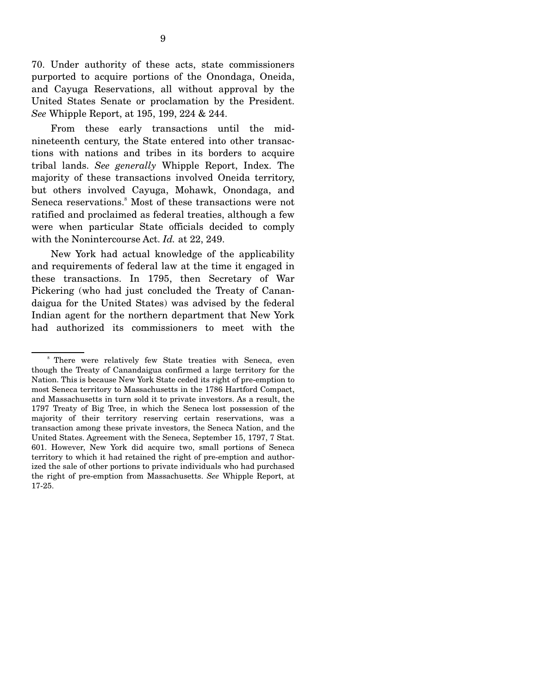70. Under authority of these acts, state commissioners purported to acquire portions of the Onondaga, Oneida, and Cayuga Reservations, all without approval by the United States Senate or proclamation by the President. *See* Whipple Report, at 195, 199, 224 & 244.

 From these early transactions until the midnineteenth century, the State entered into other transactions with nations and tribes in its borders to acquire tribal lands. *See generally* Whipple Report, Index. The majority of these transactions involved Oneida territory, but others involved Cayuga, Mohawk, Onondaga, and Seneca reservations.<sup>8</sup> Most of these transactions were not ratified and proclaimed as federal treaties, although a few were when particular State officials decided to comply with the Nonintercourse Act. *Id.* at 22, 249.

 New York had actual knowledge of the applicability and requirements of federal law at the time it engaged in these transactions. In 1795, then Secretary of War Pickering (who had just concluded the Treaty of Canandaigua for the United States) was advised by the federal Indian agent for the northern department that New York had authorized its commissioners to meet with the

<sup>&</sup>lt;sup>8</sup> There were relatively few State treaties with Seneca, even though the Treaty of Canandaigua confirmed a large territory for the Nation. This is because New York State ceded its right of pre-emption to most Seneca territory to Massachusetts in the 1786 Hartford Compact, and Massachusetts in turn sold it to private investors. As a result, the 1797 Treaty of Big Tree, in which the Seneca lost possession of the majority of their territory reserving certain reservations, was a transaction among these private investors, the Seneca Nation, and the United States. Agreement with the Seneca, September 15, 1797, 7 Stat. 601. However, New York did acquire two, small portions of Seneca territory to which it had retained the right of pre-emption and authorized the sale of other portions to private individuals who had purchased the right of pre-emption from Massachusetts. *See* Whipple Report, at 17-25.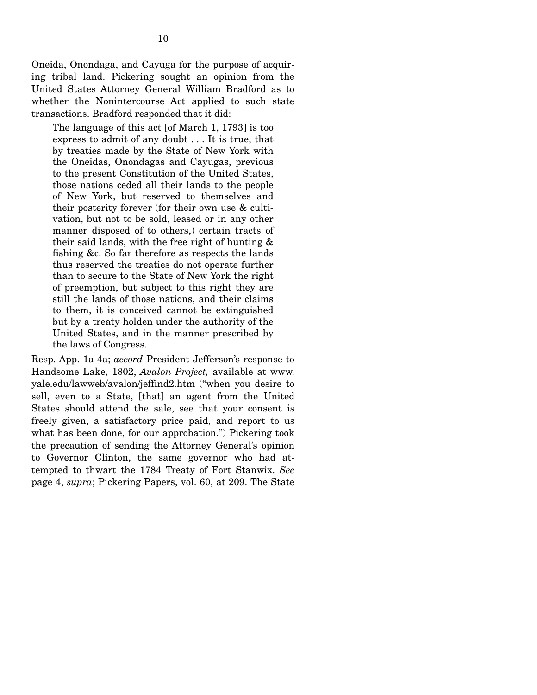Oneida, Onondaga, and Cayuga for the purpose of acquiring tribal land. Pickering sought an opinion from the United States Attorney General William Bradford as to whether the Nonintercourse Act applied to such state transactions. Bradford responded that it did:

The language of this act [of March 1, 1793] is too express to admit of any doubt . . . It is true, that by treaties made by the State of New York with the Oneidas, Onondagas and Cayugas, previous to the present Constitution of the United States, those nations ceded all their lands to the people of New York, but reserved to themselves and their posterity forever (for their own use & cultivation, but not to be sold, leased or in any other manner disposed of to others,) certain tracts of their said lands, with the free right of hunting & fishing &c. So far therefore as respects the lands thus reserved the treaties do not operate further than to secure to the State of New York the right of preemption, but subject to this right they are still the lands of those nations, and their claims to them, it is conceived cannot be extinguished but by a treaty holden under the authority of the United States, and in the manner prescribed by the laws of Congress.

Resp. App. 1a-4a; *accord* President Jefferson's response to Handsome Lake, 1802, *Avalon Project,* available at www. yale.edu/lawweb/avalon/jeffind2.htm ("when you desire to sell, even to a State, [that] an agent from the United States should attend the sale, see that your consent is freely given, a satisfactory price paid, and report to us what has been done, for our approbation.") Pickering took the precaution of sending the Attorney General's opinion to Governor Clinton, the same governor who had attempted to thwart the 1784 Treaty of Fort Stanwix. *See* page 4, *supra*; Pickering Papers, vol. 60, at 209. The State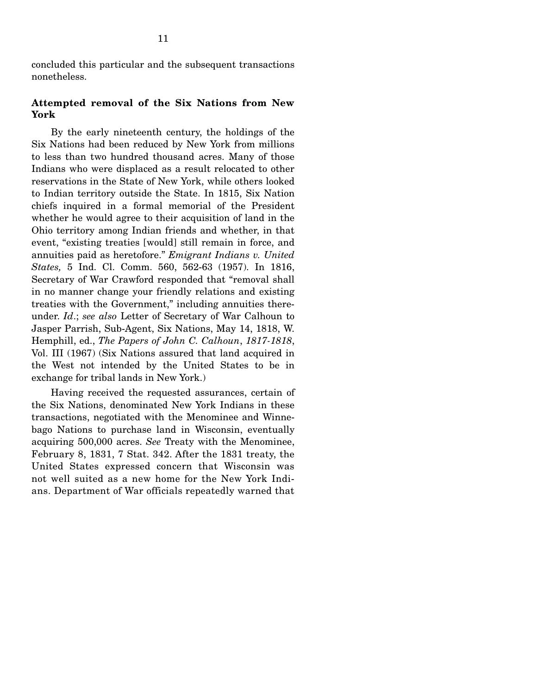concluded this particular and the subsequent transactions nonetheless.

## **Attempted removal of the Six Nations from New York**

 By the early nineteenth century, the holdings of the Six Nations had been reduced by New York from millions to less than two hundred thousand acres. Many of those Indians who were displaced as a result relocated to other reservations in the State of New York, while others looked to Indian territory outside the State. In 1815, Six Nation chiefs inquired in a formal memorial of the President whether he would agree to their acquisition of land in the Ohio territory among Indian friends and whether, in that event, "existing treaties [would] still remain in force, and annuities paid as heretofore." *Emigrant Indians v. United States,* 5 Ind. Cl. Comm. 560, 562-63 (1957). In 1816, Secretary of War Crawford responded that "removal shall in no manner change your friendly relations and existing treaties with the Government," including annuities thereunder. *Id*.; *see also* Letter of Secretary of War Calhoun to Jasper Parrish, Sub-Agent, Six Nations, May 14, 1818, W. Hemphill, ed., *The Papers of John C. Calhoun*, *1817-1818*, Vol. III (1967) (Six Nations assured that land acquired in the West not intended by the United States to be in exchange for tribal lands in New York.)

 Having received the requested assurances, certain of the Six Nations, denominated New York Indians in these transactions, negotiated with the Menominee and Winnebago Nations to purchase land in Wisconsin, eventually acquiring 500,000 acres. *See* Treaty with the Menominee, February 8, 1831, 7 Stat. 342. After the 1831 treaty, the United States expressed concern that Wisconsin was not well suited as a new home for the New York Indians. Department of War officials repeatedly warned that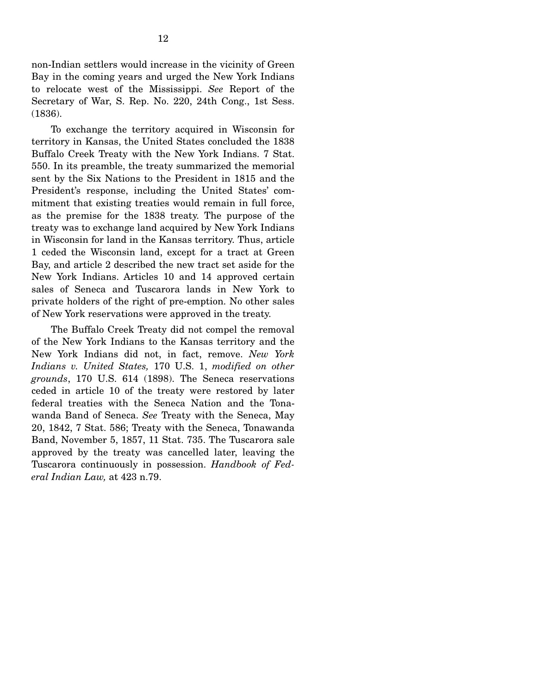non-Indian settlers would increase in the vicinity of Green Bay in the coming years and urged the New York Indians to relocate west of the Mississippi. *See* Report of the Secretary of War, S. Rep. No. 220, 24th Cong., 1st Sess. (1836).

 To exchange the territory acquired in Wisconsin for territory in Kansas, the United States concluded the 1838 Buffalo Creek Treaty with the New York Indians. 7 Stat. 550. In its preamble, the treaty summarized the memorial sent by the Six Nations to the President in 1815 and the President's response, including the United States' commitment that existing treaties would remain in full force, as the premise for the 1838 treaty. The purpose of the treaty was to exchange land acquired by New York Indians in Wisconsin for land in the Kansas territory. Thus, article 1 ceded the Wisconsin land, except for a tract at Green Bay, and article 2 described the new tract set aside for the New York Indians. Articles 10 and 14 approved certain sales of Seneca and Tuscarora lands in New York to private holders of the right of pre-emption. No other sales of New York reservations were approved in the treaty.

 The Buffalo Creek Treaty did not compel the removal of the New York Indians to the Kansas territory and the New York Indians did not, in fact, remove. *New York Indians v. United States,* 170 U.S. 1, *modified on other grounds*, 170 U.S. 614 (1898). The Seneca reservations ceded in article 10 of the treaty were restored by later federal treaties with the Seneca Nation and the Tonawanda Band of Seneca. *See* Treaty with the Seneca, May 20, 1842, 7 Stat. 586; Treaty with the Seneca, Tonawanda Band, November 5, 1857, 11 Stat. 735. The Tuscarora sale approved by the treaty was cancelled later, leaving the Tuscarora continuously in possession. *Handbook of Federal Indian Law,* at 423 n.79.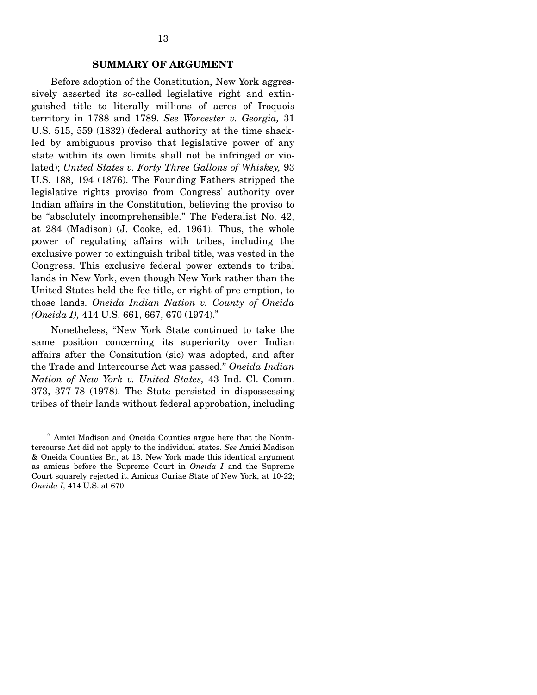#### **SUMMARY OF ARGUMENT**

 Before adoption of the Constitution, New York aggressively asserted its so-called legislative right and extinguished title to literally millions of acres of Iroquois territory in 1788 and 1789. *See Worcester v. Georgia,* 31 U.S. 515, 559 (1832) (federal authority at the time shackled by ambiguous proviso that legislative power of any state within its own limits shall not be infringed or violated); *United States v. Forty Three Gallons of Whiskey,* 93 U.S. 188, 194 (1876). The Founding Fathers stripped the legislative rights proviso from Congress' authority over Indian affairs in the Constitution, believing the proviso to be "absolutely incomprehensible." The Federalist No. 42, at 284 (Madison) (J. Cooke, ed. 1961). Thus, the whole power of regulating affairs with tribes, including the exclusive power to extinguish tribal title, was vested in the Congress. This exclusive federal power extends to tribal lands in New York, even though New York rather than the United States held the fee title, or right of pre-emption, to those lands. *Oneida Indian Nation v. County of Oneida (Oneida I),* 414 U.S. 661, 667, 670 (1974).<sup>9</sup>

 Nonetheless, "New York State continued to take the same position concerning its superiority over Indian affairs after the Consitution (sic) was adopted, and after the Trade and Intercourse Act was passed." *Oneida Indian Nation of New York v. United States,* 43 Ind. Cl. Comm. 373, 377-78 (1978). The State persisted in dispossessing tribes of their lands without federal approbation, including

<sup>&</sup>lt;sup>9</sup> Amici Madison and Oneida Counties argue here that the Nonintercourse Act did not apply to the individual states. *See* Amici Madison & Oneida Counties Br., at 13. New York made this identical argument as amicus before the Supreme Court in *Oneida I* and the Supreme Court squarely rejected it. Amicus Curiae State of New York, at 10-22; *Oneida I,* 414 U.S. at 670.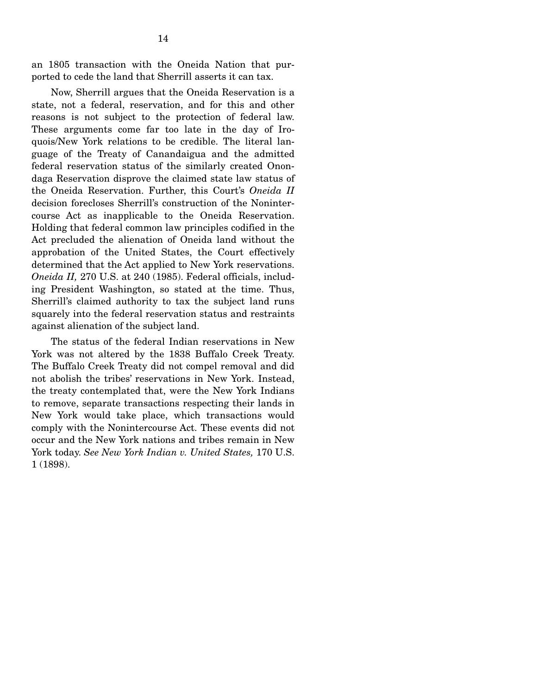an 1805 transaction with the Oneida Nation that purported to cede the land that Sherrill asserts it can tax.

 Now, Sherrill argues that the Oneida Reservation is a state, not a federal, reservation, and for this and other reasons is not subject to the protection of federal law. These arguments come far too late in the day of Iroquois/New York relations to be credible. The literal language of the Treaty of Canandaigua and the admitted federal reservation status of the similarly created Onondaga Reservation disprove the claimed state law status of the Oneida Reservation. Further, this Court's *Oneida II*  decision forecloses Sherrill's construction of the Nonintercourse Act as inapplicable to the Oneida Reservation. Holding that federal common law principles codified in the Act precluded the alienation of Oneida land without the approbation of the United States, the Court effectively determined that the Act applied to New York reservations. *Oneida II,* 270 U.S. at 240 (1985). Federal officials, including President Washington, so stated at the time. Thus, Sherrill's claimed authority to tax the subject land runs squarely into the federal reservation status and restraints against alienation of the subject land.

 The status of the federal Indian reservations in New York was not altered by the 1838 Buffalo Creek Treaty. The Buffalo Creek Treaty did not compel removal and did not abolish the tribes' reservations in New York. Instead, the treaty contemplated that, were the New York Indians to remove, separate transactions respecting their lands in New York would take place, which transactions would comply with the Nonintercourse Act. These events did not occur and the New York nations and tribes remain in New York today. *See New York Indian v. United States,* 170 U.S. 1 (1898).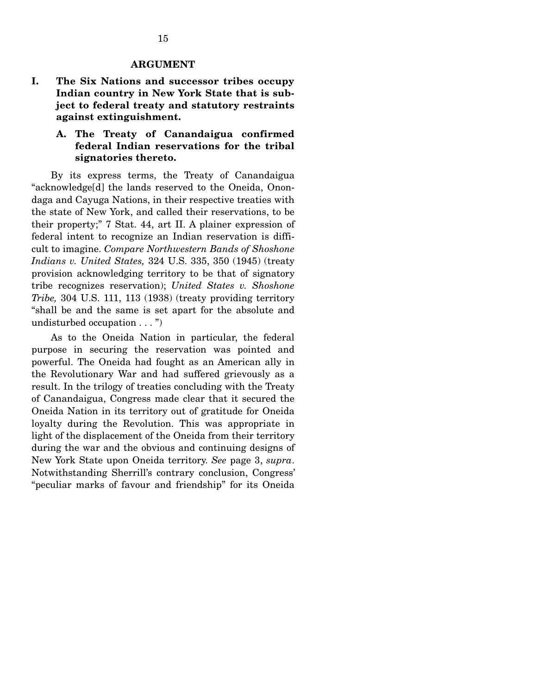#### **ARGUMENT**

**I. The Six Nations and successor tribes occupy Indian country in New York State that is subject to federal treaty and statutory restraints against extinguishment.** 

### **A. The Treaty of Canandaigua confirmed federal Indian reservations for the tribal signatories thereto.**

 By its express terms, the Treaty of Canandaigua "acknowledge[d] the lands reserved to the Oneida, Onondaga and Cayuga Nations, in their respective treaties with the state of New York, and called their reservations, to be their property;" 7 Stat. 44, art II. A plainer expression of federal intent to recognize an Indian reservation is difficult to imagine. *Compare Northwestern Bands of Shoshone Indians v. United States,* 324 U.S. 335, 350 (1945) (treaty provision acknowledging territory to be that of signatory tribe recognizes reservation); *United States v. Shoshone Tribe,* 304 U.S. 111, 113 (1938) (treaty providing territory "shall be and the same is set apart for the absolute and undisturbed occupation . . . ")

 As to the Oneida Nation in particular, the federal purpose in securing the reservation was pointed and powerful. The Oneida had fought as an American ally in the Revolutionary War and had suffered grievously as a result. In the trilogy of treaties concluding with the Treaty of Canandaigua, Congress made clear that it secured the Oneida Nation in its territory out of gratitude for Oneida loyalty during the Revolution. This was appropriate in light of the displacement of the Oneida from their territory during the war and the obvious and continuing designs of New York State upon Oneida territory. *See* page 3, *supra*. Notwithstanding Sherrill's contrary conclusion, Congress' "peculiar marks of favour and friendship" for its Oneida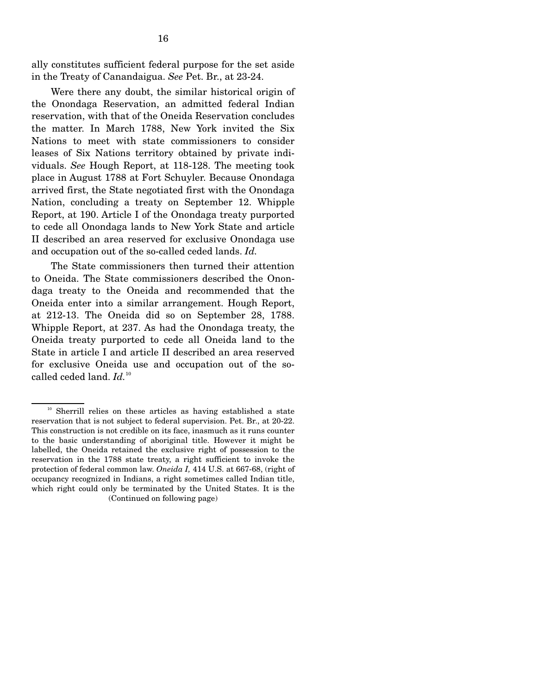ally constitutes sufficient federal purpose for the set aside in the Treaty of Canandaigua. *See* Pet. Br., at 23-24.

 Were there any doubt, the similar historical origin of the Onondaga Reservation, an admitted federal Indian reservation, with that of the Oneida Reservation concludes the matter. In March 1788, New York invited the Six Nations to meet with state commissioners to consider leases of Six Nations territory obtained by private individuals. *See* Hough Report, at 118-128. The meeting took place in August 1788 at Fort Schuyler. Because Onondaga arrived first, the State negotiated first with the Onondaga Nation, concluding a treaty on September 12. Whipple Report, at 190. Article I of the Onondaga treaty purported to cede all Onondaga lands to New York State and article II described an area reserved for exclusive Onondaga use and occupation out of the so-called ceded lands. *Id.* 

 The State commissioners then turned their attention to Oneida. The State commissioners described the Onondaga treaty to the Oneida and recommended that the Oneida enter into a similar arrangement. Hough Report, at 212-13. The Oneida did so on September 28, 1788. Whipple Report, at 237. As had the Onondaga treaty, the Oneida treaty purported to cede all Oneida land to the State in article I and article II described an area reserved for exclusive Oneida use and occupation out of the socalled ceded land. *Id.*<sup>10</sup>

 $10<sup>10</sup>$  Sherrill relies on these articles as having established a state reservation that is not subject to federal supervision. Pet. Br., at 20-22. This construction is not credible on its face, inasmuch as it runs counter to the basic understanding of aboriginal title. However it might be labelled, the Oneida retained the exclusive right of possession to the reservation in the 1788 state treaty, a right sufficient to invoke the protection of federal common law. *Oneida I,* 414 U.S. at 667-68, (right of occupancy recognized in Indians, a right sometimes called Indian title, which right could only be terminated by the United States. It is the (Continued on following page)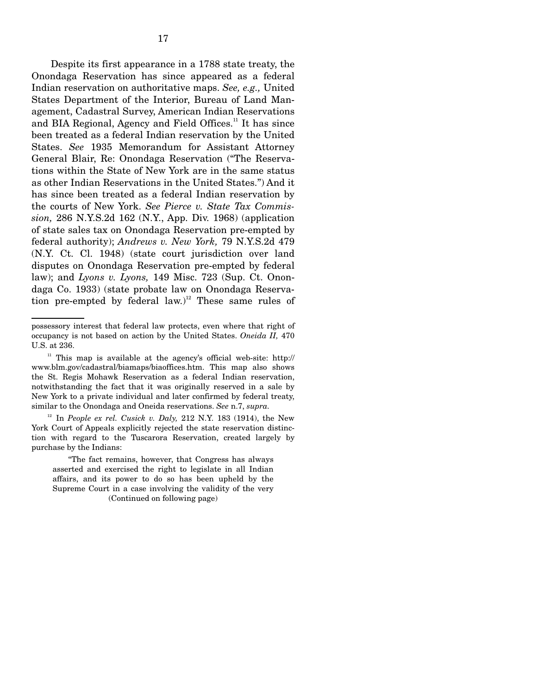Despite its first appearance in a 1788 state treaty, the Onondaga Reservation has since appeared as a federal Indian reservation on authoritative maps. *See, e.g.,* United States Department of the Interior, Bureau of Land Management, Cadastral Survey, American Indian Reservations and BIA Regional, Agency and Field Offices.<sup>11</sup> It has since been treated as a federal Indian reservation by the United States. *See* 1935 Memorandum for Assistant Attorney General Blair, Re: Onondaga Reservation ("The Reservations within the State of New York are in the same status as other Indian Reservations in the United States.") And it has since been treated as a federal Indian reservation by the courts of New York. *See Pierce v. State Tax Commission,* 286 N.Y.S.2d 162 (N.Y., App. Div. 1968) (application of state sales tax on Onondaga Reservation pre-empted by federal authority); *Andrews v. New York,* 79 N.Y.S.2d 479 (N.Y. Ct. Cl. 1948) (state court jurisdiction over land disputes on Onondaga Reservation pre-empted by federal law); and *Lyons v. Lyons,* 149 Misc. 723 (Sup. Ct. Onondaga Co. 1933) (state probate law on Onondaga Reservation pre-empted by federal law.)<sup>12</sup> These same rules of

possessory interest that federal law protects, even where that right of occupancy is not based on action by the United States. *Oneida II,* 470 U.S. at 236.

<sup>&</sup>lt;sup>11</sup> This map is available at the agency's official web-site: http:// www.blm.gov/cadastral/biamaps/biaoffices.htm. This map also shows the St. Regis Mohawk Reservation as a federal Indian reservation, notwithstanding the fact that it was originally reserved in a sale by New York to a private individual and later confirmed by federal treaty, similar to the Onondaga and Oneida reservations. *See* n.7, *supra.*

 $12$  In *People ex rel. Cusick v. Daly,* 212 N.Y. 183 (1914), the New York Court of Appeals explicitly rejected the state reservation distinction with regard to the Tuscarora Reservation, created largely by purchase by the Indians:

 <sup>&</sup>quot;The fact remains, however, that Congress has always asserted and exercised the right to legislate in all Indian affairs, and its power to do so has been upheld by the Supreme Court in a case involving the validity of the very (Continued on following page)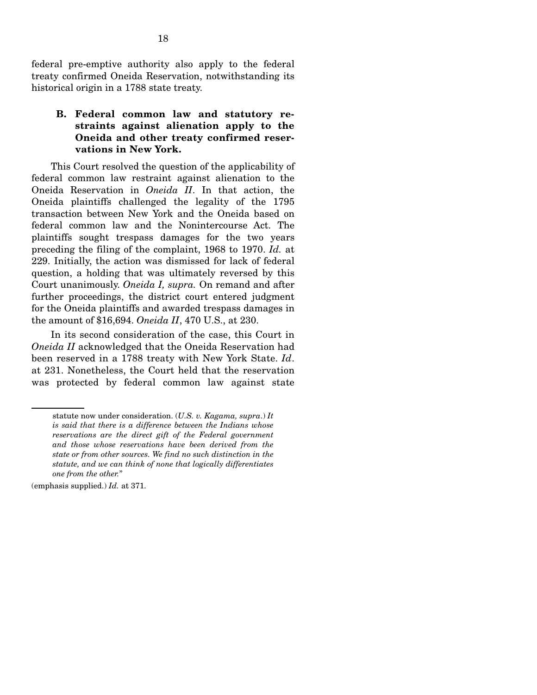federal pre-emptive authority also apply to the federal treaty confirmed Oneida Reservation, notwithstanding its historical origin in a 1788 state treaty.

## **B. Federal common law and statutory restraints against alienation apply to the Oneida and other treaty confirmed reservations in New York.**

 This Court resolved the question of the applicability of federal common law restraint against alienation to the Oneida Reservation in *Oneida II*. In that action, the Oneida plaintiffs challenged the legality of the 1795 transaction between New York and the Oneida based on federal common law and the Nonintercourse Act. The plaintiffs sought trespass damages for the two years preceding the filing of the complaint, 1968 to 1970. *Id.* at 229. Initially, the action was dismissed for lack of federal question, a holding that was ultimately reversed by this Court unanimously. *Oneida I, supra.* On remand and after further proceedings, the district court entered judgment for the Oneida plaintiffs and awarded trespass damages in the amount of \$16,694. *Oneida II*, 470 U.S., at 230.

 In its second consideration of the case, this Court in *Oneida II* acknowledged that the Oneida Reservation had been reserved in a 1788 treaty with New York State. *Id*. at 231. Nonetheless, the Court held that the reservation was protected by federal common law against state

statute now under consideration. (*U.S. v. Kagama, supra*.) *It is said that there is a difference between the Indians whose reservations are the direct gift of the Federal government and those whose reservations have been derived from the state or from other sources. We find no such distinction in the statute, and we can think of none that logically differentiates one from the other.*"

<sup>(</sup>emphasis supplied.) *Id.* at 371.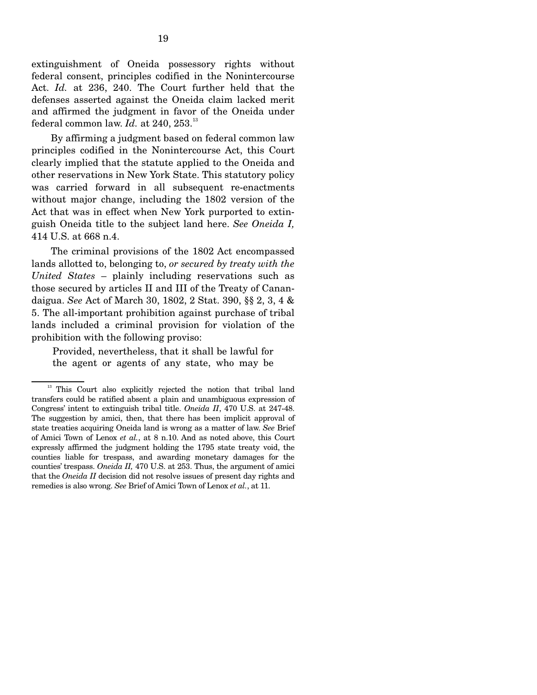extinguishment of Oneida possessory rights without federal consent, principles codified in the Nonintercourse Act. *Id.* at 236, 240. The Court further held that the defenses asserted against the Oneida claim lacked merit and affirmed the judgment in favor of the Oneida under federal common law. *Id.* at 240, 253.<sup>13</sup>

 By affirming a judgment based on federal common law principles codified in the Nonintercourse Act, this Court clearly implied that the statute applied to the Oneida and other reservations in New York State. This statutory policy was carried forward in all subsequent re-enactments without major change, including the 1802 version of the Act that was in effect when New York purported to extinguish Oneida title to the subject land here. *See Oneida I,*  414 U.S. at 668 n.4.

 The criminal provisions of the 1802 Act encompassed lands allotted to, belonging to, *or secured by treaty with the United States* – plainly including reservations such as those secured by articles II and III of the Treaty of Canandaigua. *See* Act of March 30, 1802, 2 Stat. 390, §§ 2, 3, 4 & 5. The all-important prohibition against purchase of tribal lands included a criminal provision for violation of the prohibition with the following proviso:

Provided, nevertheless, that it shall be lawful for the agent or agents of any state, who may be

<sup>&</sup>lt;sup>13</sup> This Court also explicitly rejected the notion that tribal land transfers could be ratified absent a plain and unambiguous expression of Congress' intent to extinguish tribal title. *Oneida II*, 470 U.S. at 247-48. The suggestion by amici, then, that there has been implicit approval of state treaties acquiring Oneida land is wrong as a matter of law. *See* Brief of Amici Town of Lenox *et al.*, at 8 n.10. And as noted above, this Court expressly affirmed the judgment holding the 1795 state treaty void, the counties liable for trespass, and awarding monetary damages for the counties' trespass. *Oneida II,* 470 U.S. at 253. Thus, the argument of amici that the *Oneida II* decision did not resolve issues of present day rights and remedies is also wrong. *See* Brief of Amici Town of Lenox *et al.*, at 11.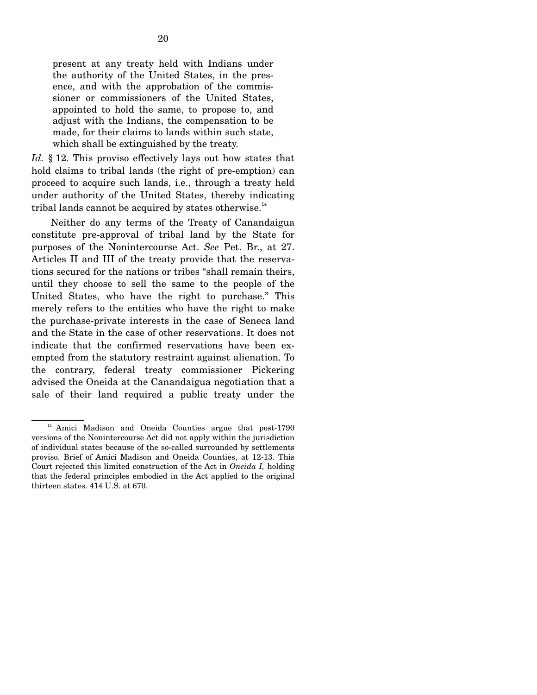present at any treaty held with Indians under the authority of the United States, in the presence, and with the approbation of the commissioner or commissioners of the United States, appointed to hold the same, to propose to, and adjust with the Indians, the compensation to be made, for their claims to lands within such state, which shall be extinguished by the treaty.

*Id.* § 12. This proviso effectively lays out how states that hold claims to tribal lands (the right of pre-emption) can proceed to acquire such lands, i.e., through a treaty held under authority of the United States, thereby indicating tribal lands cannot be acquired by states otherwise.<sup>14</sup>

 Neither do any terms of the Treaty of Canandaigua constitute pre-approval of tribal land by the State for purposes of the Nonintercourse Act. *See* Pet. Br., at 27. Articles II and III of the treaty provide that the reservations secured for the nations or tribes "shall remain theirs, until they choose to sell the same to the people of the United States, who have the right to purchase." This merely refers to the entities who have the right to make the purchase-private interests in the case of Seneca land and the State in the case of other reservations. It does not indicate that the confirmed reservations have been exempted from the statutory restraint against alienation. To the contrary, federal treaty commissioner Pickering advised the Oneida at the Canandaigua negotiation that a sale of their land required a public treaty under the

<sup>&</sup>lt;sup>14</sup> Amici Madison and Oneida Counties argue that post-1790 versions of the Nonintercourse Act did not apply within the jurisdiction of individual states because of the so-called surrounded by settlements proviso. Brief of Amici Madison and Oneida Counties, at 12-13. This Court rejected this limited construction of the Act in *Oneida I,* holding that the federal principles embodied in the Act applied to the original thirteen states. 414 U.S. at 670.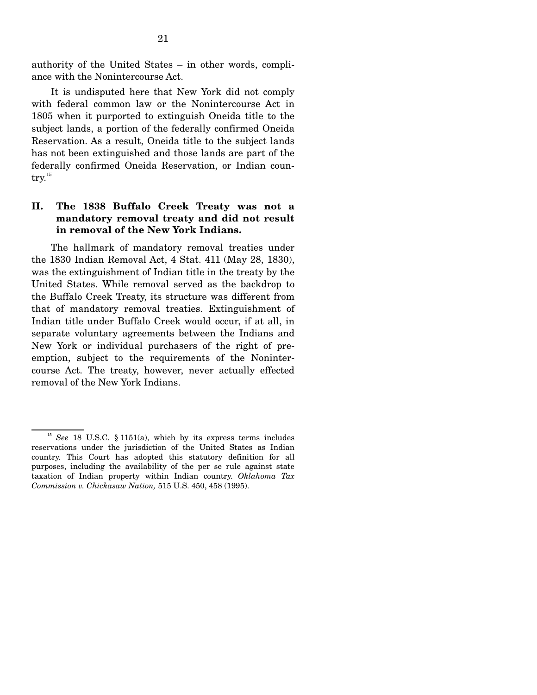authority of the United States – in other words, compliance with the Nonintercourse Act.

 It is undisputed here that New York did not comply with federal common law or the Nonintercourse Act in 1805 when it purported to extinguish Oneida title to the subject lands, a portion of the federally confirmed Oneida Reservation. As a result, Oneida title to the subject lands has not been extinguished and those lands are part of the federally confirmed Oneida Reservation, or Indian coun $try.<sup>15</sup>$ 

## **II. The 1838 Buffalo Creek Treaty was not a mandatory removal treaty and did not result in removal of the New York Indians.**

 The hallmark of mandatory removal treaties under the 1830 Indian Removal Act, 4 Stat. 411 (May 28, 1830), was the extinguishment of Indian title in the treaty by the United States. While removal served as the backdrop to the Buffalo Creek Treaty, its structure was different from that of mandatory removal treaties. Extinguishment of Indian title under Buffalo Creek would occur, if at all, in separate voluntary agreements between the Indians and New York or individual purchasers of the right of preemption, subject to the requirements of the Nonintercourse Act. The treaty, however, never actually effected removal of the New York Indians.

<sup>&</sup>lt;sup>15</sup> *See* 18 U.S.C. § 1151(a), which by its express terms includes reservations under the jurisdiction of the United States as Indian country. This Court has adopted this statutory definition for all purposes, including the availability of the per se rule against state taxation of Indian property within Indian country. *Oklahoma Tax Commission v. Chickasaw Nation,* 515 U.S. 450, 458 (1995).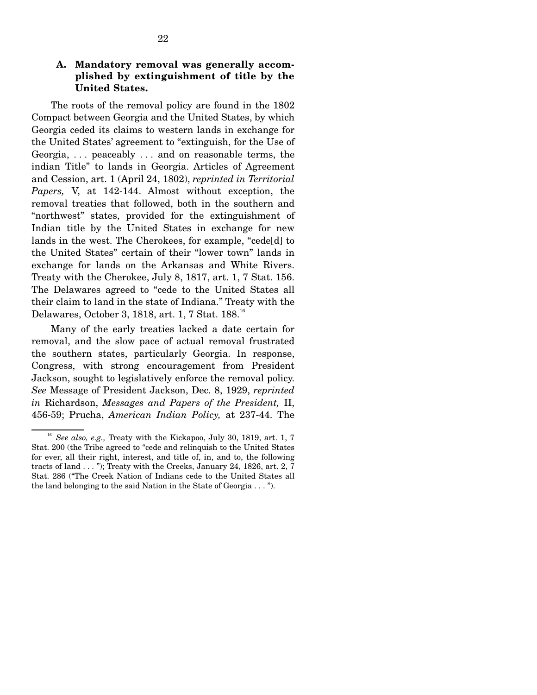## **A. Mandatory removal was generally accomplished by extinguishment of title by the United States.**

 The roots of the removal policy are found in the 1802 Compact between Georgia and the United States, by which Georgia ceded its claims to western lands in exchange for the United States' agreement to "extinguish, for the Use of Georgia, . . . peaceably . . . and on reasonable terms, the indian Title" to lands in Georgia. Articles of Agreement and Cession, art. 1 (April 24, 1802), *reprinted in Territorial Papers,* V, at 142-144. Almost without exception, the removal treaties that followed, both in the southern and "northwest" states, provided for the extinguishment of Indian title by the United States in exchange for new lands in the west. The Cherokees, for example, "cede[d] to the United States" certain of their "lower town" lands in exchange for lands on the Arkansas and White Rivers. Treaty with the Cherokee, July 8, 1817, art. 1, 7 Stat. 156. The Delawares agreed to "cede to the United States all their claim to land in the state of Indiana." Treaty with the Delawares, October 3, 1818, art. 1, 7 Stat. 188.16

 Many of the early treaties lacked a date certain for removal, and the slow pace of actual removal frustrated the southern states, particularly Georgia. In response, Congress, with strong encouragement from President Jackson, sought to legislatively enforce the removal policy. *See* Message of President Jackson, Dec. 8, 1929, *reprinted in* Richardson, *Messages and Papers of the President,* II, 456-59; Prucha, *American Indian Policy,* at 237-44. The

<sup>&</sup>lt;sup>16</sup> *See also, e.g.*, Treaty with the Kickapoo, July 30, 1819, art. 1, 7 Stat. 200 (the Tribe agreed to "cede and relinquish to the United States for ever, all their right, interest, and title of, in, and to, the following tracts of land . . . "); Treaty with the Creeks, January 24, 1826, art. 2, 7 Stat. 286 ("The Creek Nation of Indians cede to the United States all the land belonging to the said Nation in the State of Georgia . . . ").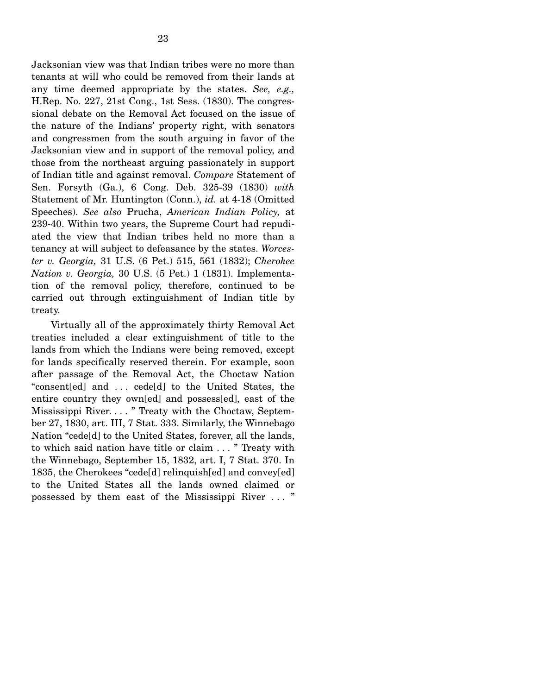Jacksonian view was that Indian tribes were no more than tenants at will who could be removed from their lands at any time deemed appropriate by the states. *See, e.g.,*  H.Rep. No. 227, 21st Cong., 1st Sess. (1830). The congressional debate on the Removal Act focused on the issue of the nature of the Indians' property right, with senators and congressmen from the south arguing in favor of the Jacksonian view and in support of the removal policy, and those from the northeast arguing passionately in support of Indian title and against removal. *Compare* Statement of Sen. Forsyth (Ga.), 6 Cong. Deb. 325-39 (1830) *with*  Statement of Mr. Huntington (Conn.), *id.* at 4-18 (Omitted Speeches). *See also* Prucha, *American Indian Policy,* at 239-40. Within two years, the Supreme Court had repudiated the view that Indian tribes held no more than a tenancy at will subject to defeasance by the states. *Worcester v. Georgia,* 31 U.S. (6 Pet.) 515, 561 (1832); *Cherokee Nation v. Georgia,* 30 U.S. (5 Pet.) 1 (1831). Implementation of the removal policy, therefore, continued to be carried out through extinguishment of Indian title by treaty.

 Virtually all of the approximately thirty Removal Act treaties included a clear extinguishment of title to the lands from which the Indians were being removed, except for lands specifically reserved therein. For example, soon after passage of the Removal Act, the Choctaw Nation "consent[ed] and . . . cede[d] to the United States, the entire country they own[ed] and possess[ed], east of the Mississippi River. . . . " Treaty with the Choctaw, September 27, 1830, art. III, 7 Stat. 333. Similarly, the Winnebago Nation "cede[d] to the United States, forever, all the lands, to which said nation have title or claim . . . " Treaty with the Winnebago, September 15, 1832, art. I, 7 Stat. 370. In 1835, the Cherokees "cede[d] relinquish[ed] and convey[ed] to the United States all the lands owned claimed or possessed by them east of the Mississippi River . . . "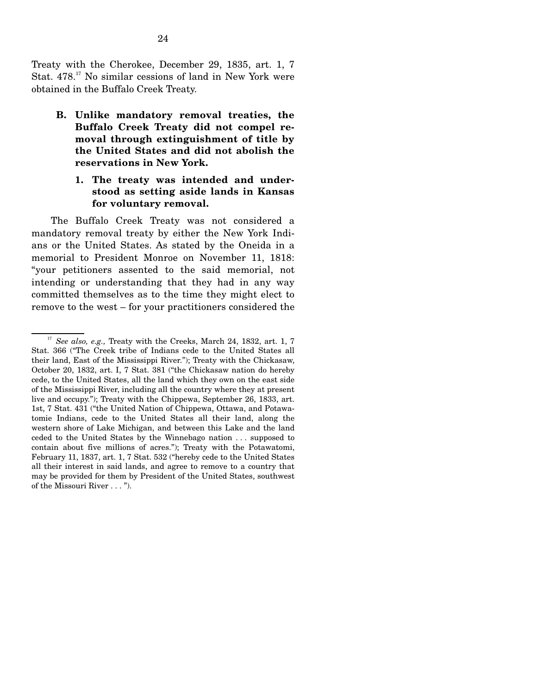Treaty with the Cherokee, December 29, 1835, art. 1, 7 Stat. 478.<sup>17</sup> No similar cessions of land in New York were obtained in the Buffalo Creek Treaty.

- **B. Unlike mandatory removal treaties, the Buffalo Creek Treaty did not compel removal through extinguishment of title by the United States and did not abolish the reservations in New York.** 
	- **1. The treaty was intended and understood as setting aside lands in Kansas for voluntary removal.**

 The Buffalo Creek Treaty was not considered a mandatory removal treaty by either the New York Indians or the United States. As stated by the Oneida in a memorial to President Monroe on November 11, 1818: "your petitioners assented to the said memorial, not intending or understanding that they had in any way committed themselves as to the time they might elect to remove to the west – for your practitioners considered the

<sup>&</sup>lt;sup>17</sup> See also, e.g., Treaty with the Creeks, March 24, 1832, art. 1, 7 Stat. 366 ("The Creek tribe of Indians cede to the United States all their land, East of the Mississippi River."); Treaty with the Chickasaw, October 20, 1832, art. I, 7 Stat. 381 ("the Chickasaw nation do hereby cede, to the United States, all the land which they own on the east side of the Mississippi River, including all the country where they at present live and occupy."); Treaty with the Chippewa, September 26, 1833, art. 1st, 7 Stat. 431 ("the United Nation of Chippewa, Ottawa, and Potawatomie Indians, cede to the United States all their land, along the western shore of Lake Michigan, and between this Lake and the land ceded to the United States by the Winnebago nation . . . supposed to contain about five millions of acres."); Treaty with the Potawatomi, February 11, 1837, art. 1, 7 Stat. 532 ("hereby cede to the United States all their interest in said lands, and agree to remove to a country that may be provided for them by President of the United States, southwest of the Missouri River . . . ").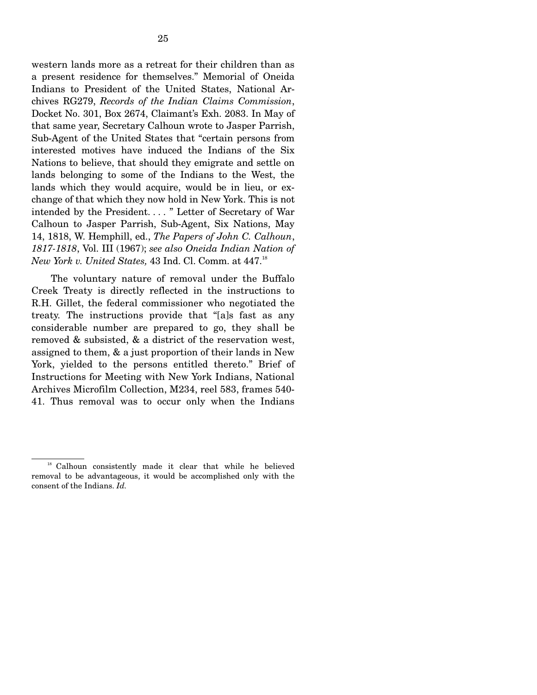western lands more as a retreat for their children than as a present residence for themselves." Memorial of Oneida Indians to President of the United States, National Archives RG279, *Records of the Indian Claims Commission*, Docket No. 301, Box 2674, Claimant's Exh. 2083. In May of that same year, Secretary Calhoun wrote to Jasper Parrish, Sub-Agent of the United States that "certain persons from interested motives have induced the Indians of the Six Nations to believe, that should they emigrate and settle on lands belonging to some of the Indians to the West, the lands which they would acquire, would be in lieu, or exchange of that which they now hold in New York. This is not intended by the President. . . . " Letter of Secretary of War Calhoun to Jasper Parrish, Sub-Agent, Six Nations, May 14, 1818, W. Hemphill, ed., *The Papers of John C. Calhoun*, *1817-1818*, Vol. III (1967); *see also Oneida Indian Nation of New York v. United States,* 43 Ind. Cl. Comm. at 447.<sup>18</sup>

 The voluntary nature of removal under the Buffalo Creek Treaty is directly reflected in the instructions to R.H. Gillet, the federal commissioner who negotiated the treaty. The instructions provide that "[a]s fast as any considerable number are prepared to go, they shall be removed & subsisted, & a district of the reservation west, assigned to them, & a just proportion of their lands in New York, yielded to the persons entitled thereto." Brief of Instructions for Meeting with New York Indians, National Archives Microfilm Collection, M234, reel 583, frames 540- 41. Thus removal was to occur only when the Indians

<sup>&</sup>lt;sup>18</sup> Calhoun consistently made it clear that while he believed removal to be advantageous, it would be accomplished only with the consent of the Indians. *Id.*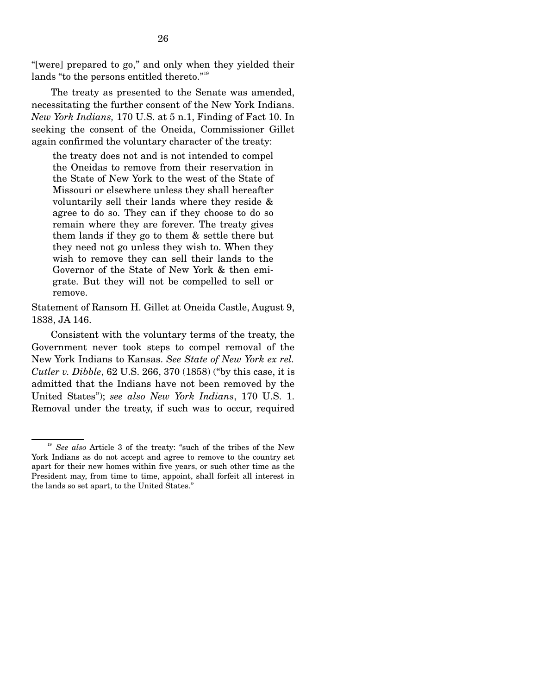"[were] prepared to go," and only when they yielded their lands "to the persons entitled thereto."<sup>19</sup>

 The treaty as presented to the Senate was amended, necessitating the further consent of the New York Indians. *New York Indians,* 170 U.S. at 5 n.1, Finding of Fact 10. In seeking the consent of the Oneida, Commissioner Gillet again confirmed the voluntary character of the treaty:

the treaty does not and is not intended to compel the Oneidas to remove from their reservation in the State of New York to the west of the State of Missouri or elsewhere unless they shall hereafter voluntarily sell their lands where they reside & agree to do so. They can if they choose to do so remain where they are forever. The treaty gives them lands if they go to them & settle there but they need not go unless they wish to. When they wish to remove they can sell their lands to the Governor of the State of New York & then emigrate. But they will not be compelled to sell or remove.

Statement of Ransom H. Gillet at Oneida Castle, August 9, 1838, JA 146.

 Consistent with the voluntary terms of the treaty, the Government never took steps to compel removal of the New York Indians to Kansas. *See State of New York ex rel. Cutler v. Dibble*, 62 U.S. 266, 370 (1858) ("by this case, it is admitted that the Indians have not been removed by the United States"); *see also New York Indians*, 170 U.S. 1. Removal under the treaty, if such was to occur, required

<sup>19</sup> *See also* Article 3 of the treaty: "such of the tribes of the New York Indians as do not accept and agree to remove to the country set apart for their new homes within five years, or such other time as the President may, from time to time, appoint, shall forfeit all interest in the lands so set apart, to the United States."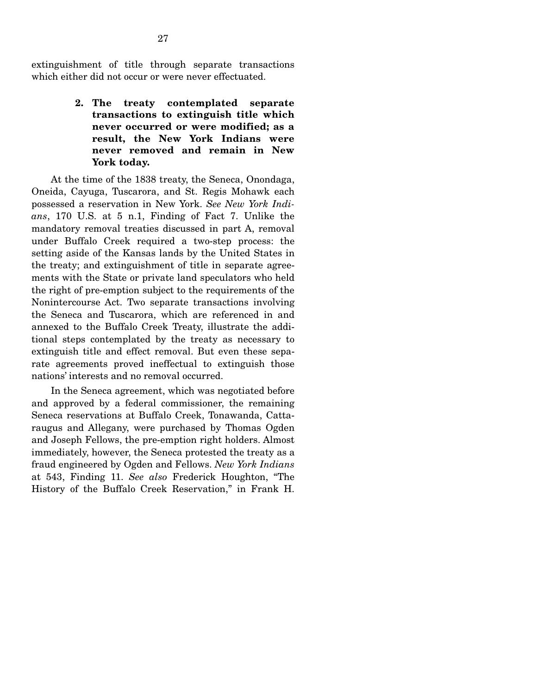extinguishment of title through separate transactions which either did not occur or were never effectuated.

> **2. The treaty contemplated separate transactions to extinguish title which never occurred or were modified; as a result, the New York Indians were never removed and remain in New York today.**

 At the time of the 1838 treaty, the Seneca, Onondaga, Oneida, Cayuga, Tuscarora, and St. Regis Mohawk each possessed a reservation in New York. *See New York Indians*, 170 U.S. at 5 n.1, Finding of Fact 7. Unlike the mandatory removal treaties discussed in part A, removal under Buffalo Creek required a two-step process: the setting aside of the Kansas lands by the United States in the treaty; and extinguishment of title in separate agreements with the State or private land speculators who held the right of pre-emption subject to the requirements of the Nonintercourse Act. Two separate transactions involving the Seneca and Tuscarora, which are referenced in and annexed to the Buffalo Creek Treaty, illustrate the additional steps contemplated by the treaty as necessary to extinguish title and effect removal. But even these separate agreements proved ineffectual to extinguish those nations' interests and no removal occurred.

 In the Seneca agreement, which was negotiated before and approved by a federal commissioner, the remaining Seneca reservations at Buffalo Creek, Tonawanda, Cattaraugus and Allegany, were purchased by Thomas Ogden and Joseph Fellows, the pre-emption right holders. Almost immediately, however, the Seneca protested the treaty as a fraud engineered by Ogden and Fellows. *New York Indians*  at 543, Finding 11. *See also* Frederick Houghton, "The History of the Buffalo Creek Reservation," in Frank H.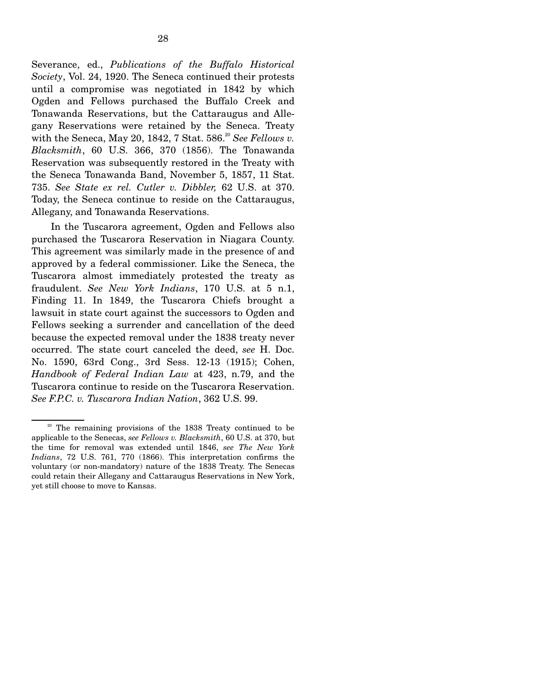Severance, ed., *Publications of the Buffalo Historical Society*, Vol. 24, 1920. The Seneca continued their protests until a compromise was negotiated in 1842 by which Ogden and Fellows purchased the Buffalo Creek and Tonawanda Reservations, but the Cattaraugus and Allegany Reservations were retained by the Seneca. Treaty with the Seneca, May 20, 1842, 7 Stat.  $586.2^{\circ}$  See Fellows v. *Blacksmith*, 60 U.S. 366, 370 (1856). The Tonawanda Reservation was subsequently restored in the Treaty with the Seneca Tonawanda Band, November 5, 1857, 11 Stat. 735. *See State ex rel. Cutler v. Dibbler,* 62 U.S. at 370. Today, the Seneca continue to reside on the Cattaraugus, Allegany, and Tonawanda Reservations.

 In the Tuscarora agreement, Ogden and Fellows also purchased the Tuscarora Reservation in Niagara County. This agreement was similarly made in the presence of and approved by a federal commissioner. Like the Seneca, the Tuscarora almost immediately protested the treaty as fraudulent. *See New York Indians*, 170 U.S. at 5 n.1, Finding 11. In 1849, the Tuscarora Chiefs brought a lawsuit in state court against the successors to Ogden and Fellows seeking a surrender and cancellation of the deed because the expected removal under the 1838 treaty never occurred. The state court canceled the deed, *see* H. Doc. No. 1590, 63rd Cong., 3rd Sess. 12-13 (1915); Cohen, *Handbook of Federal Indian Law* at 423, n.79, and the Tuscarora continue to reside on the Tuscarora Reservation. *See F.P.C. v. Tuscarora Indian Nation*, 362 U.S. 99.

<sup>&</sup>lt;sup>20</sup> The remaining provisions of the 1838 Treaty continued to be applicable to the Senecas, *see Fellows v. Blacksmith*, 60 U.S. at 370, but the time for removal was extended until 1846, *see The New York Indians*, 72 U.S. 761, 770 (1866). This interpretation confirms the voluntary (or non-mandatory) nature of the 1838 Treaty. The Senecas could retain their Allegany and Cattaraugus Reservations in New York, yet still choose to move to Kansas.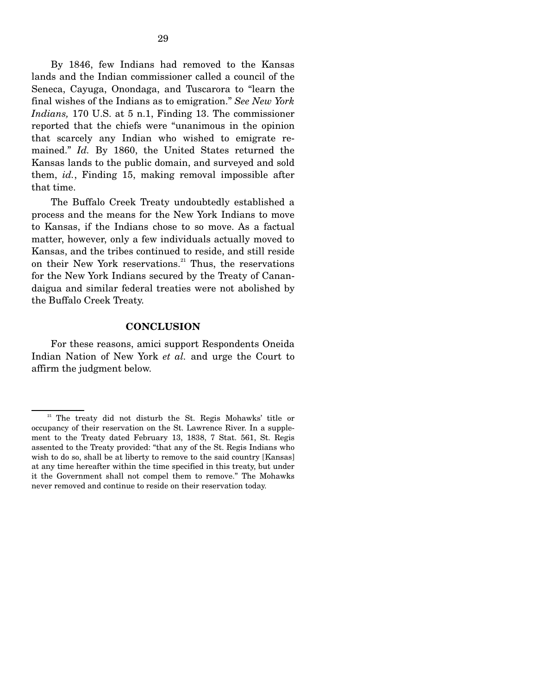By 1846, few Indians had removed to the Kansas lands and the Indian commissioner called a council of the Seneca, Cayuga, Onondaga, and Tuscarora to "learn the final wishes of the Indians as to emigration." *See New York Indians,* 170 U.S. at 5 n.1, Finding 13. The commissioner reported that the chiefs were "unanimous in the opinion that scarcely any Indian who wished to emigrate remained." *Id.* By 1860, the United States returned the Kansas lands to the public domain, and surveyed and sold them, *id.*, Finding 15, making removal impossible after that time.

 The Buffalo Creek Treaty undoubtedly established a process and the means for the New York Indians to move to Kansas, if the Indians chose to so move. As a factual matter, however, only a few individuals actually moved to Kansas, and the tribes continued to reside, and still reside on their New York reservations.<sup>21</sup> Thus, the reservations for the New York Indians secured by the Treaty of Canandaigua and similar federal treaties were not abolished by the Buffalo Creek Treaty.

#### **CONCLUSION**

 For these reasons, amici support Respondents Oneida Indian Nation of New York *et al.* and urge the Court to affirm the judgment below.

<sup>&</sup>lt;sup>21</sup> The treaty did not disturb the St. Regis Mohawks' title or occupancy of their reservation on the St. Lawrence River. In a supplement to the Treaty dated February 13, 1838, 7 Stat. 561, St. Regis assented to the Treaty provided: "that any of the St. Regis Indians who wish to do so, shall be at liberty to remove to the said country [Kansas] at any time hereafter within the time specified in this treaty, but under it the Government shall not compel them to remove." The Mohawks never removed and continue to reside on their reservation today.